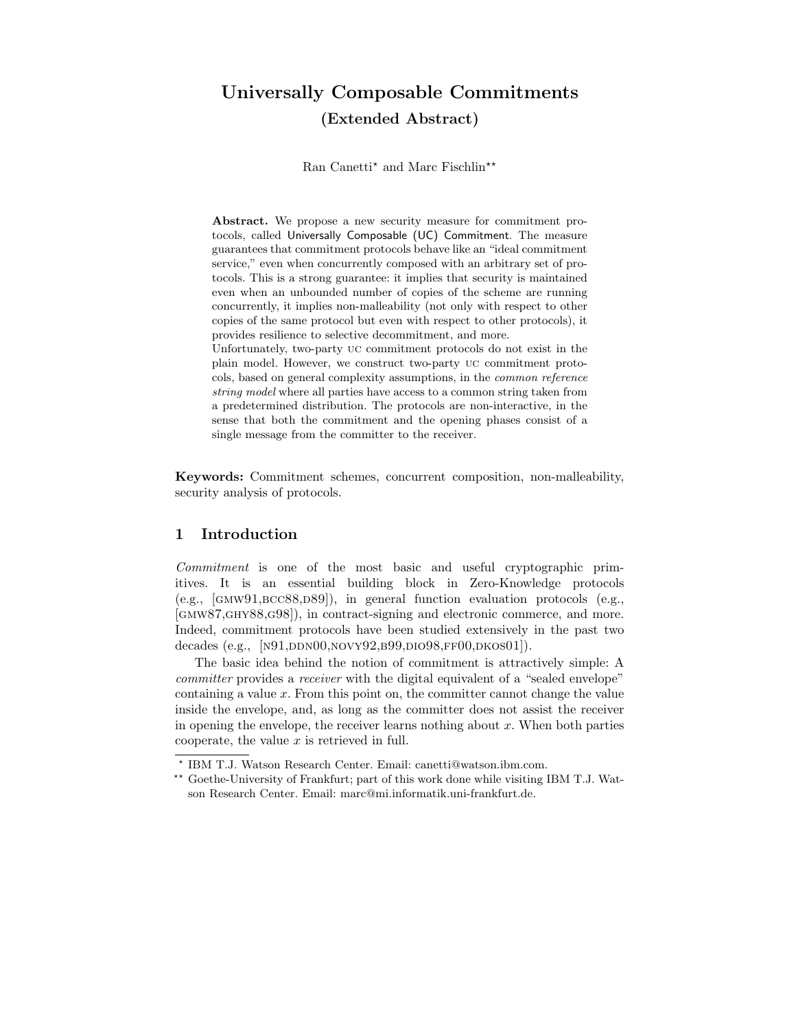# Universally Composable Commitments (Extended Abstract)

Ran Canetti<sup>\*</sup> and Marc Fischlin<sup>\*\*</sup>

Abstract. We propose a new security measure for commitment protocols, called Universally Composable (UC) Commitment. The measure guarantees that commitment protocols behave like an "ideal commitment service," even when concurrently composed with an arbitrary set of protocols. This is a strong guarantee: it implies that security is maintained even when an unbounded number of copies of the scheme are running concurrently, it implies non-malleability (not only with respect to other copies of the same protocol but even with respect to other protocols), it provides resilience to selective decommitment, and more. Unfortunately, two-party uc commitment protocols do not exist in the

plain model. However, we construct two-party uc commitment protocols, based on general complexity assumptions, in the common reference string model where all parties have access to a common string taken from a predetermined distribution. The protocols are non-interactive, in the sense that both the commitment and the opening phases consist of a single message from the committer to the receiver.

Keywords: Commitment schemes, concurrent composition, non-malleability, security analysis of protocols.

# 1 Introduction

Commitment is one of the most basic and useful cryptographic primitives. It is an essential building block in Zero-Knowledge protocols  $(e.g., [GMW91, BCC88, D89]),$  in general function evaluation protocols  $(e.g.,$ [gmw87,ghy88,g98]), in contract-signing and electronic commerce, and more. Indeed, commitment protocols have been studied extensively in the past two decades (e.g.,  $[N91,DDN00,NoVY92,B99,DIO98,FF00,DKOS01$ ).

The basic idea behind the notion of commitment is attractively simple: A committer provides a receiver with the digital equivalent of a "sealed envelope" containing a value  $x$ . From this point on, the committer cannot change the value inside the envelope, and, as long as the committer does not assist the receiver in opening the envelope, the receiver learns nothing about  $x$ . When both parties cooperate, the value  $x$  is retrieved in full.

<sup>?</sup> IBM T.J. Watson Research Center. Email: canetti@watson.ibm.com.

<sup>\*\*</sup> Goethe-University of Frankfurt; part of this work done while visiting IBM T.J. Watson Research Center. Email: marc@mi.informatik.uni-frankfurt.de.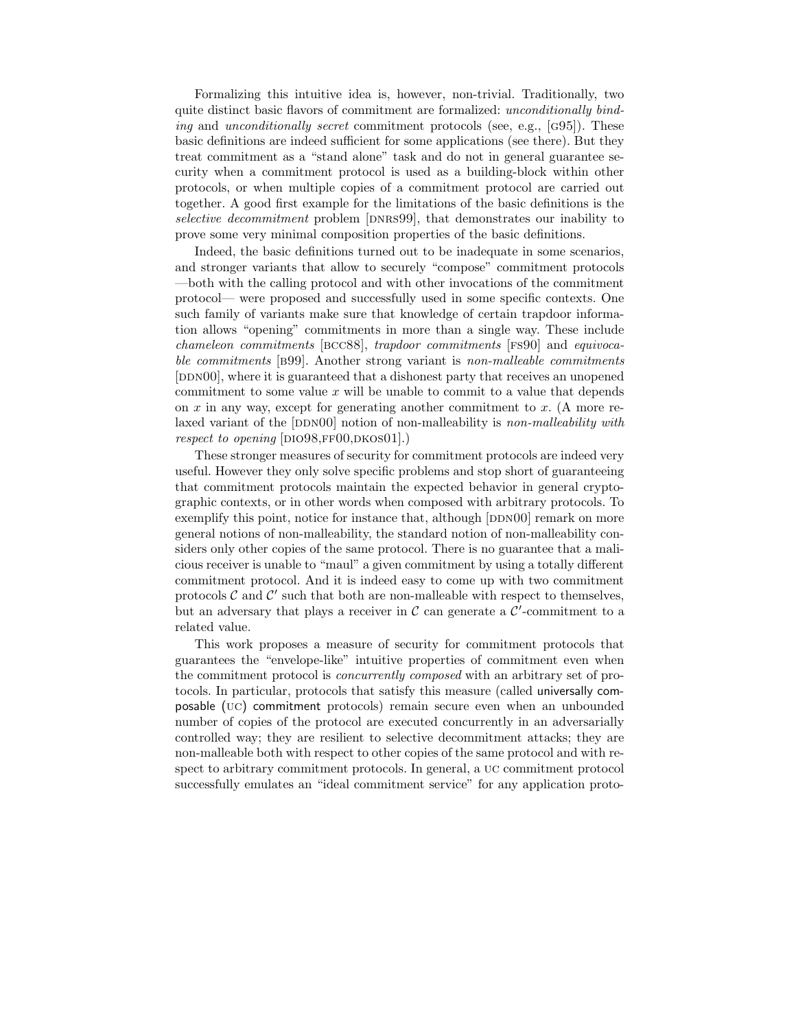Formalizing this intuitive idea is, however, non-trivial. Traditionally, two quite distinct basic flavors of commitment are formalized: unconditionally binding and unconditionally secret commitment protocols (see, e.g.,  $[G95]$ ). These basic definitions are indeed sufficient for some applications (see there). But they treat commitment as a "stand alone" task and do not in general guarantee security when a commitment protocol is used as a building-block within other protocols, or when multiple copies of a commitment protocol are carried out together. A good first example for the limitations of the basic definitions is the selective decommitment problem  $|DNRS99|$ , that demonstrates our inability to prove some very minimal composition properties of the basic definitions.

Indeed, the basic definitions turned out to be inadequate in some scenarios, and stronger variants that allow to securely "compose" commitment protocols —both with the calling protocol and with other invocations of the commitment protocol— were proposed and successfully used in some specific contexts. One such family of variants make sure that knowledge of certain trapdoor information allows "opening" commitments in more than a single way. These include chameleon commitments [bcc88], trapdoor commitments [fs90] and equivocable commitments [b99]. Another strong variant is non-malleable commitments [DDN00], where it is guaranteed that a dishonest party that receives an unopened commitment to some value  $x$  will be unable to commit to a value that depends on  $x$  in any way, except for generating another commitment to  $x$ . (A more relaxed variant of the  $[DDN00]$  notion of non-malleability is non-malleability with respect to opening  $[DIO98,FF00,DKOS01].$ 

These stronger measures of security for commitment protocols are indeed very useful. However they only solve specific problems and stop short of guaranteeing that commitment protocols maintain the expected behavior in general cryptographic contexts, or in other words when composed with arbitrary protocols. To exemplify this point, notice for instance that, although  $[DDN00]$  remark on more general notions of non-malleability, the standard notion of non-malleability considers only other copies of the same protocol. There is no guarantee that a malicious receiver is unable to "maul" a given commitment by using a totally different commitment protocol. And it is indeed easy to come up with two commitment protocols  $C$  and  $C'$  such that both are non-malleable with respect to themselves, but an adversary that plays a receiver in  $\mathcal C$  can generate a  $\mathcal C'$ -commitment to a related value.

This work proposes a measure of security for commitment protocols that guarantees the "envelope-like" intuitive properties of commitment even when the commitment protocol is concurrently composed with an arbitrary set of protocols. In particular, protocols that satisfy this measure (called universally composable (uc) commitment protocols) remain secure even when an unbounded number of copies of the protocol are executed concurrently in an adversarially controlled way; they are resilient to selective decommitment attacks; they are non-malleable both with respect to other copies of the same protocol and with respect to arbitrary commitment protocols. In general, a uc commitment protocol successfully emulates an "ideal commitment service" for any application proto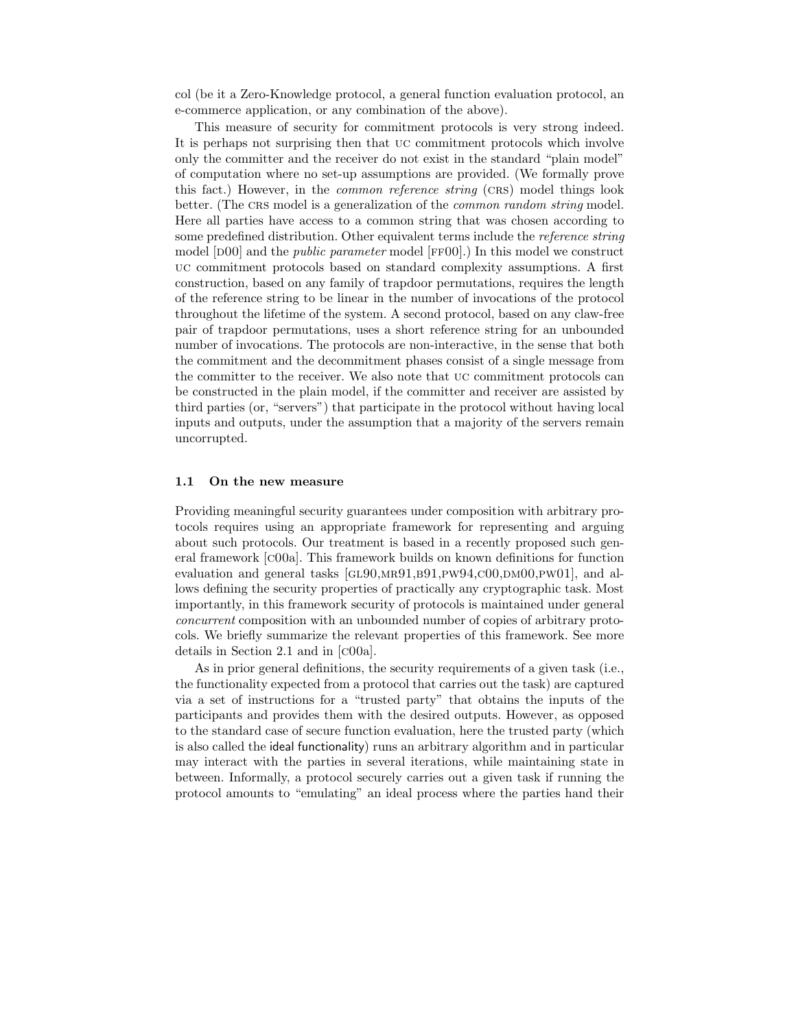col (be it a Zero-Knowledge protocol, a general function evaluation protocol, an e-commerce application, or any combination of the above).

This measure of security for commitment protocols is very strong indeed. It is perhaps not surprising then that uc commitment protocols which involve only the committer and the receiver do not exist in the standard "plain model" of computation where no set-up assumptions are provided. (We formally prove this fact.) However, in the common reference string (crs) model things look better. (The CRS model is a generalization of the *common random string* model. Here all parties have access to a common string that was chosen according to some predefined distribution. Other equivalent terms include the reference string model  $[000]$  and the *public parameter* model  $[FF00]$ .) In this model we construct uc commitment protocols based on standard complexity assumptions. A first construction, based on any family of trapdoor permutations, requires the length of the reference string to be linear in the number of invocations of the protocol throughout the lifetime of the system. A second protocol, based on any claw-free pair of trapdoor permutations, uses a short reference string for an unbounded number of invocations. The protocols are non-interactive, in the sense that both the commitment and the decommitment phases consist of a single message from the committer to the receiver. We also note that uc commitment protocols can be constructed in the plain model, if the committer and receiver are assisted by third parties (or, "servers") that participate in the protocol without having local inputs and outputs, under the assumption that a majority of the servers remain uncorrupted.

### 1.1 On the new measure

Providing meaningful security guarantees under composition with arbitrary protocols requires using an appropriate framework for representing and arguing about such protocols. Our treatment is based in a recently proposed such general framework [c00a]. This framework builds on known definitions for function evaluation and general tasks  $[GL90,MR91,B91,PW94,C00,DM00,PW01]$ , and allows defining the security properties of practically any cryptographic task. Most importantly, in this framework security of protocols is maintained under general concurrent composition with an unbounded number of copies of arbitrary protocols. We briefly summarize the relevant properties of this framework. See more details in Section 2.1 and in [c00a].

As in prior general definitions, the security requirements of a given task (i.e., the functionality expected from a protocol that carries out the task) are captured via a set of instructions for a "trusted party" that obtains the inputs of the participants and provides them with the desired outputs. However, as opposed to the standard case of secure function evaluation, here the trusted party (which is also called the ideal functionality) runs an arbitrary algorithm and in particular may interact with the parties in several iterations, while maintaining state in between. Informally, a protocol securely carries out a given task if running the protocol amounts to "emulating" an ideal process where the parties hand their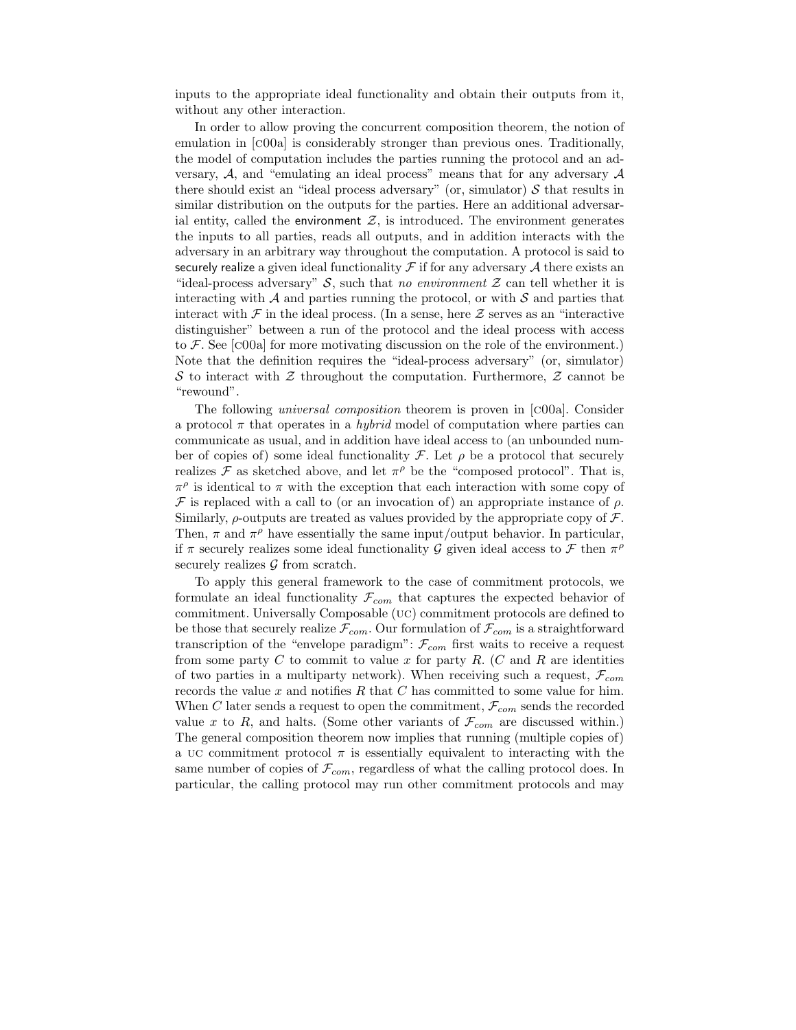inputs to the appropriate ideal functionality and obtain their outputs from it, without any other interaction.

In order to allow proving the concurrent composition theorem, the notion of emulation in [c00a] is considerably stronger than previous ones. Traditionally, the model of computation includes the parties running the protocol and an adversary,  $A$ , and "emulating an ideal process" means that for any adversary  $A$ there should exist an "ideal process adversary" (or, simulator)  $S$  that results in similar distribution on the outputs for the parties. Here an additional adversarial entity, called the environment  $\mathcal{Z}$ , is introduced. The environment generates the inputs to all parties, reads all outputs, and in addition interacts with the adversary in an arbitrary way throughout the computation. A protocol is said to securely realize a given ideal functionality  $\mathcal F$  if for any adversary  $\mathcal A$  there exists an "ideal-process adversary"  $S$ , such that no environment  $Z$  can tell whether it is interacting with  $\mathcal A$  and parties running the protocol, or with  $\mathcal S$  and parties that interact with  $\mathcal F$  in the ideal process. (In a sense, here  $\mathcal Z$  serves as an "interactive distinguisher" between a run of the protocol and the ideal process with access to  $\mathcal F$ . See [C00a] for more motivating discussion on the role of the environment.) Note that the definition requires the "ideal-process adversary" (or, simulator) S to interact with  $\mathcal Z$  throughout the computation. Furthermore,  $\mathcal Z$  cannot be "rewound".

The following universal composition theorem is proven in [c00a]. Consider a protocol  $\pi$  that operates in a *hybrid* model of computation where parties can communicate as usual, and in addition have ideal access to (an unbounded number of copies of) some ideal functionality  $\mathcal F$ . Let  $\rho$  be a protocol that securely realizes  $\mathcal F$  as sketched above, and let  $\pi^{\rho}$  be the "composed protocol". That is,  $\pi^{\rho}$  is identical to  $\pi$  with the exception that each interaction with some copy of F is replaced with a call to (or an invocation of) an appropriate instance of  $\rho$ . Similarly,  $\rho$ -outputs are treated as values provided by the appropriate copy of  $\mathcal{F}$ . Then,  $\pi$  and  $\pi^{\rho}$  have essentially the same input/output behavior. In particular, if  $\pi$  securely realizes some ideal functionality G given ideal access to F then  $\pi^{\rho}$ securely realizes  $\mathcal G$  from scratch.

To apply this general framework to the case of commitment protocols, we formulate an ideal functionality  $\mathcal{F}_{com}$  that captures the expected behavior of commitment. Universally Composable (uc) commitment protocols are defined to be those that securely realize  $\mathcal{F}_{com}$ . Our formulation of  $\mathcal{F}_{com}$  is a straightforward transcription of the "envelope paradigm":  $\mathcal{F}_{com}$  first waits to receive a request from some party  $C$  to commit to value  $x$  for party  $R$ .  $(C$  and  $R$  are identities of two parties in a multiparty network). When receiving such a request,  $\mathcal{F}_{com}$ records the value  $x$  and notifies  $R$  that  $C$  has committed to some value for him. When C later sends a request to open the commitment,  $\mathcal{F}_{com}$  sends the recorded value x to R, and halts. (Some other variants of  $\mathcal{F}_{com}$  are discussed within.) The general composition theorem now implies that running (multiple copies of) a uc commitment protocol  $\pi$  is essentially equivalent to interacting with the same number of copies of  $\mathcal{F}_{com}$ , regardless of what the calling protocol does. In particular, the calling protocol may run other commitment protocols and may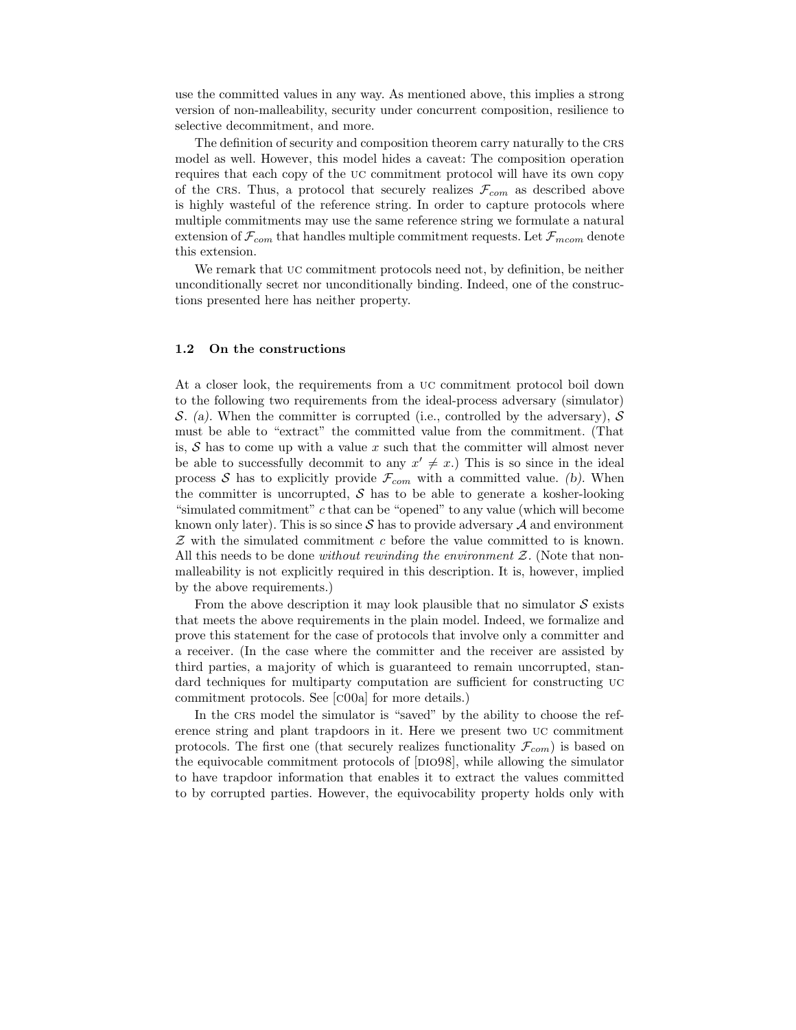use the committed values in any way. As mentioned above, this implies a strong version of non-malleability, security under concurrent composition, resilience to selective decommitment, and more.

The definition of security and composition theorem carry naturally to the crs model as well. However, this model hides a caveat: The composition operation requires that each copy of the uc commitment protocol will have its own copy of the CRS. Thus, a protocol that securely realizes  $\mathcal{F}_{com}$  as described above is highly wasteful of the reference string. In order to capture protocols where multiple commitments may use the same reference string we formulate a natural extension of  $\mathcal{F}_{com}$  that handles multiple commitment requests. Let  $\mathcal{F}_{mcom}$  denote this extension.

We remark that UC commitment protocols need not, by definition, be neither unconditionally secret nor unconditionally binding. Indeed, one of the constructions presented here has neither property.

### 1.2 On the constructions

At a closer look, the requirements from a uc commitment protocol boil down to the following two requirements from the ideal-process adversary (simulator) S. (a). When the committer is corrupted (i.e., controlled by the adversary), S must be able to "extract" the committed value from the commitment. (That is,  $S$  has to come up with a value x such that the committer will almost never be able to successfully decommit to any  $x' \neq x$ .) This is so since in the ideal process S has to explicitly provide  $\mathcal{F}_{com}$  with a committed value. (b). When the committer is uncorrupted,  $S$  has to be able to generate a kosher-looking "simulated commitment" c that can be "opened" to any value (which will become known only later). This is so since  $\mathcal S$  has to provide adversary  $\mathcal A$  and environment  $Z$  with the simulated commitment c before the value committed to is known. All this needs to be done *without rewinding the environment*  $Z$ . (Note that nonmalleability is not explicitly required in this description. It is, however, implied by the above requirements.)

From the above description it may look plausible that no simulator  $S$  exists that meets the above requirements in the plain model. Indeed, we formalize and prove this statement for the case of protocols that involve only a committer and a receiver. (In the case where the committer and the receiver are assisted by third parties, a majority of which is guaranteed to remain uncorrupted, standard techniques for multiparty computation are sufficient for constructing uc commitment protocols. See [c00a] for more details.)

In the crs model the simulator is "saved" by the ability to choose the reference string and plant trapdoors in it. Here we present two uc commitment protocols. The first one (that securely realizes functionality  $\mathcal{F}_{com}$ ) is based on the equivocable commitment protocols of  $[DIO98]$ , while allowing the simulator to have trapdoor information that enables it to extract the values committed to by corrupted parties. However, the equivocability property holds only with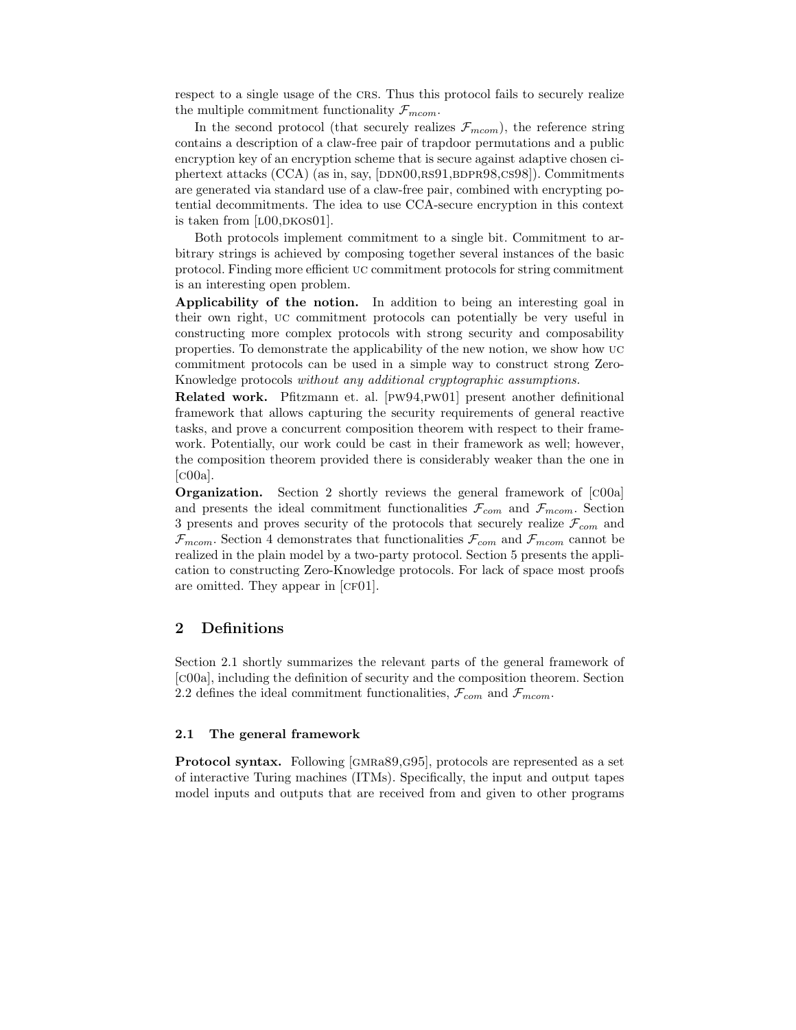respect to a single usage of the crs. Thus this protocol fails to securely realize the multiple commitment functionality  $\mathcal{F}_{mcom}$ .

In the second protocol (that securely realizes  $\mathcal{F}_{mcom}$ ), the reference string contains a description of a claw-free pair of trapdoor permutations and a public encryption key of an encryption scheme that is secure against adaptive chosen ciphertext attacks  $(CCA)$  (as in, say,  $[DDN00,RS91,BDPR98,CS98]$ ). Commitments are generated via standard use of a claw-free pair, combined with encrypting potential decommitments. The idea to use CCA-secure encryption in this context is taken from  $[L00,DK0S01]$ .

Both protocols implement commitment to a single bit. Commitment to arbitrary strings is achieved by composing together several instances of the basic protocol. Finding more efficient uc commitment protocols for string commitment is an interesting open problem.

Applicability of the notion. In addition to being an interesting goal in their own right, uc commitment protocols can potentially be very useful in constructing more complex protocols with strong security and composability properties. To demonstrate the applicability of the new notion, we show how uc commitment protocols can be used in a simple way to construct strong Zero-Knowledge protocols without any additional cryptographic assumptions.

Related work. Pfitzmann et. al. [pw94,pw01] present another definitional framework that allows capturing the security requirements of general reactive tasks, and prove a concurrent composition theorem with respect to their framework. Potentially, our work could be cast in their framework as well; however, the composition theorem provided there is considerably weaker than the one in  $[CO0a]$ .

Organization. Section 2 shortly reviews the general framework of [c00a] and presents the ideal commitment functionalities  $\mathcal{F}_{com}$  and  $\mathcal{F}_{mcom}$ . Section 3 presents and proves security of the protocols that securely realize  $\mathcal{F}_{com}$  and  $\mathcal{F}_{mcom}$ . Section 4 demonstrates that functionalities  $\mathcal{F}_{com}$  and  $\mathcal{F}_{mcom}$  cannot be realized in the plain model by a two-party protocol. Section 5 presents the application to constructing Zero-Knowledge protocols. For lack of space most proofs are omitted. They appear in [CF01].

### 2 Definitions

Section 2.1 shortly summarizes the relevant parts of the general framework of [c00a], including the definition of security and the composition theorem. Section 2.2 defines the ideal commitment functionalities,  $\mathcal{F}_{com}$  and  $\mathcal{F}_{mcom}$ .

### 2.1 The general framework

Protocol syntax. Following [gmra89,g95], protocols are represented as a set of interactive Turing machines (ITMs). Specifically, the input and output tapes model inputs and outputs that are received from and given to other programs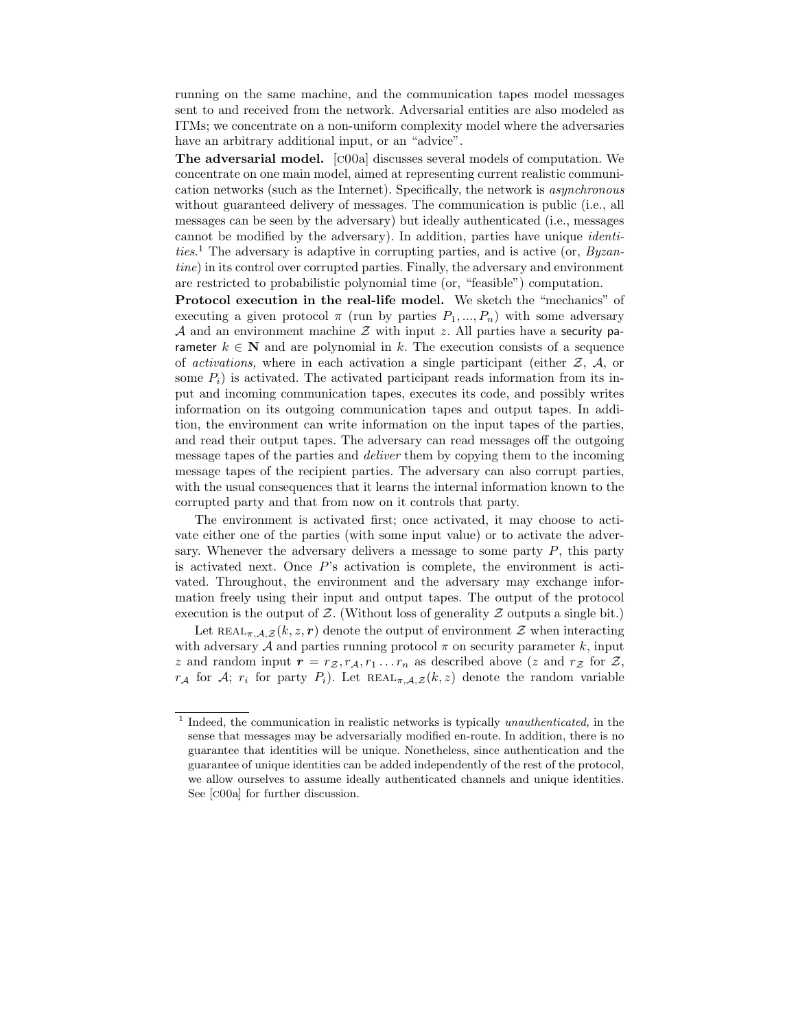running on the same machine, and the communication tapes model messages sent to and received from the network. Adversarial entities are also modeled as ITMs; we concentrate on a non-uniform complexity model where the adversaries have an arbitrary additional input, or an "advice".

The adversarial model. [c00a] discusses several models of computation. We concentrate on one main model, aimed at representing current realistic communication networks (such as the Internet). Specifically, the network is asynchronous without guaranteed delivery of messages. The communication is public (i.e., all messages can be seen by the adversary) but ideally authenticated (i.e., messages cannot be modified by the adversary). In addition, parties have unique identities.<sup>1</sup> The adversary is adaptive in corrupting parties, and is active (or, Byzantine) in its control over corrupted parties. Finally, the adversary and environment are restricted to probabilistic polynomial time (or, "feasible") computation.

Protocol execution in the real-life model. We sketch the "mechanics" of executing a given protocol  $\pi$  (run by parties  $P_1, ..., P_n$ ) with some adversary  $A$  and an environment machine  $Z$  with input  $z$ . All parties have a security parameter  $k \in \mathbb{N}$  and are polynomial in k. The execution consists of a sequence of *activations*, where in each activation a single participant (either  $Z$ ,  $A$ , or some  $P_i$ ) is activated. The activated participant reads information from its input and incoming communication tapes, executes its code, and possibly writes information on its outgoing communication tapes and output tapes. In addition, the environment can write information on the input tapes of the parties, and read their output tapes. The adversary can read messages off the outgoing message tapes of the parties and deliver them by copying them to the incoming message tapes of the recipient parties. The adversary can also corrupt parties, with the usual consequences that it learns the internal information known to the corrupted party and that from now on it controls that party.

The environment is activated first; once activated, it may choose to activate either one of the parties (with some input value) or to activate the adversary. Whenever the adversary delivers a message to some party  $P$ , this party is activated next. Once  $P$ 's activation is complete, the environment is activated. Throughout, the environment and the adversary may exchange information freely using their input and output tapes. The output of the protocol execution is the output of  $Z$ . (Without loss of generality  $Z$  outputs a single bit.)

Let  $REAL_{\pi,A,Z}(k, z, r)$  denote the output of environment Z when interacting with adversary A and parties running protocol  $\pi$  on security parameter k, input z and random input  $r = r_Z, r_A, r_1 \ldots r_n$  as described above (z and  $r_Z$  for  $Z$ ,  $r_A$  for  $A$ ;  $r_i$  for party  $P_i$ ). Let  $REAL_{\pi,\mathcal{A},\mathcal{Z}}(k,z)$  denote the random variable

<sup>&</sup>lt;sup>1</sup> Indeed, the communication in realistic networks is typically *unauthenticated*, in the sense that messages may be adversarially modified en-route. In addition, there is no guarantee that identities will be unique. Nonetheless, since authentication and the guarantee of unique identities can be added independently of the rest of the protocol, we allow ourselves to assume ideally authenticated channels and unique identities. See [c00a] for further discussion.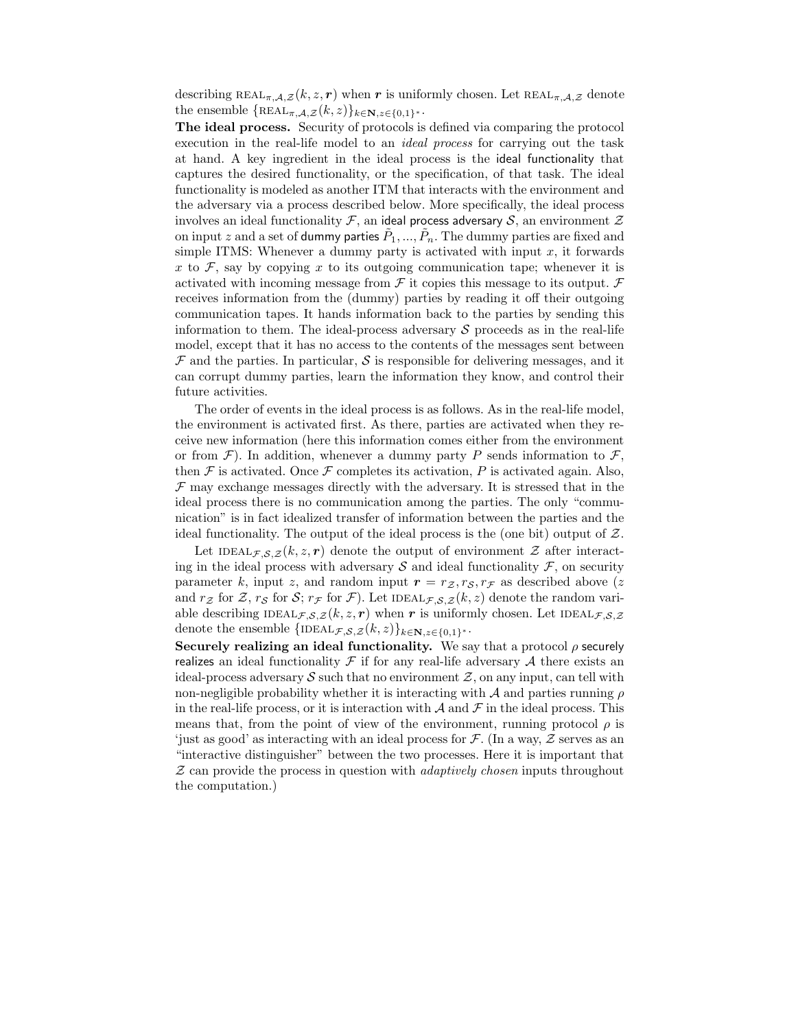describing  $REAL_{\pi,\mathcal{A},\mathcal{Z}}(k,z,\bm{r})$  when r is uniformly chosen. Let  $REAL_{\pi,\mathcal{A},\mathcal{Z}}$  denote the ensemble  $\{\text{REAL}_{\pi,\mathcal{A},\mathcal{Z}}(k,z)\}_{k\in\mathbb{N},z\in\{0,1\}^*}$ .

The ideal process. Security of protocols is defined via comparing the protocol execution in the real-life model to an ideal process for carrying out the task at hand. A key ingredient in the ideal process is the ideal functionality that captures the desired functionality, or the specification, of that task. The ideal functionality is modeled as another ITM that interacts with the environment and the adversary via a process described below. More specifically, the ideal process involves an ideal functionality  $\mathcal F,$  an ideal process adversary  $\mathcal S,$  an environment  $\mathcal Z$ on input  $z$  and a set of **dummy parties**  $\tilde{P}_1,...,\tilde{P}_n.$  The dummy parties are fixed and simple ITMS: Whenever a dummy party is activated with input  $x$ , it forwards x to  $\mathcal F$ , say by copying x to its outgoing communication tape; whenever it is activated with incoming message from  $\mathcal F$  it copies this message to its output.  $\mathcal F$ receives information from the (dummy) parties by reading it off their outgoing communication tapes. It hands information back to the parties by sending this information to them. The ideal-process adversary  $S$  proceeds as in the real-life model, except that it has no access to the contents of the messages sent between  $\mathcal F$  and the parties. In particular,  $\mathcal S$  is responsible for delivering messages, and it can corrupt dummy parties, learn the information they know, and control their future activities.

The order of events in the ideal process is as follows. As in the real-life model, the environment is activated first. As there, parties are activated when they receive new information (here this information comes either from the environment or from  $\mathcal{F}$ ). In addition, whenever a dummy party P sends information to  $\mathcal{F}$ , then  $\mathcal F$  is activated. Once  $\mathcal F$  completes its activation,  $P$  is activated again. Also,  $\mathcal F$  may exchange messages directly with the adversary. It is stressed that in the ideal process there is no communication among the parties. The only "communication" is in fact idealized transfer of information between the parties and the ideal functionality. The output of the ideal process is the (one bit) output of  $Z$ .

Let IDEAL $_{\mathcal{F},\mathcal{S},\mathcal{Z}}(k,z,\boldsymbol{r})$  denote the output of environment  $\mathcal{Z}$  after interacting in the ideal process with adversary  $\mathcal S$  and ideal functionality  $\mathcal F$ , on security parameter k, input z, and random input  $r = r_Z, r_S, r_F$  as described above (z and  $r_{\mathcal{Z}}$  for  $\mathcal{Z}, r_{\mathcal{S}}$  for  $\mathcal{S}; r_{\mathcal{F}}$  for  $\mathcal{F}$ ). Let IDEAL $\mathcal{F}, \mathcal{S}, \mathcal{Z}(k, z)$  denote the random variable describing IDEAL $_{\mathcal{F},\mathcal{S},\mathcal{Z}}(k,z,\boldsymbol{r})$  when r is uniformly chosen. Let IDEAL $_{\mathcal{F},\mathcal{S},\mathcal{Z}}$ denote the ensemble  $\{\text{IDEAL}_{\mathcal{F},\mathcal{S},\mathcal{Z}}(k,z)\}_{k\in\mathbb{N},z\in\{0,1\}^*}$ .

Securely realizing an ideal functionality. We say that a protocol  $\rho$  securely realizes an ideal functionality  $\mathcal F$  if for any real-life adversary  $\mathcal A$  there exists an ideal-process adversary S such that no environment  $\mathcal{Z}$ , on any input, can tell with non-negligible probability whether it is interacting with  $\mathcal A$  and parties running  $\rho$ in the real-life process, or it is interaction with  $A$  and  $F$  in the ideal process. This means that, from the point of view of the environment, running protocol  $\rho$  is 'just as good' as interacting with an ideal process for  $\mathcal{F}$ . (In a way,  $\mathcal{Z}$  serves as an "interactive distinguisher" between the two processes. Here it is important that  $Z$  can provide the process in question with *adaptively chosen* inputs throughout the computation.)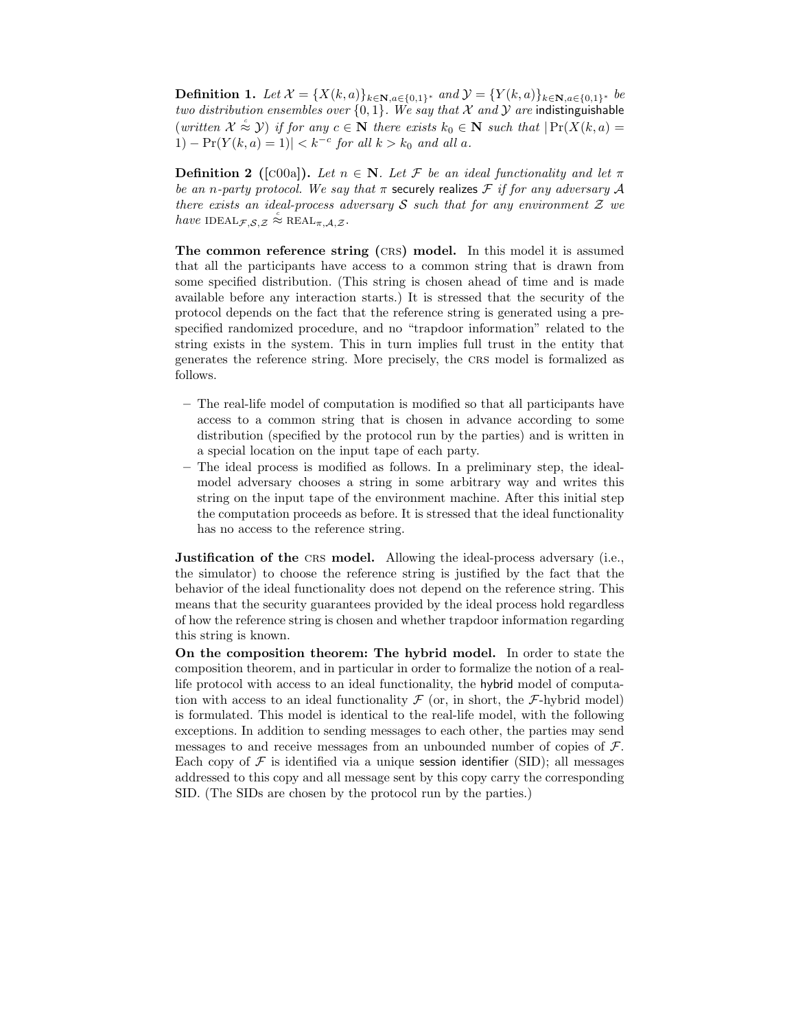Definition 1. Let  $\mathcal{X} = \{X(k, a)\}_{k \in \mathbf{N}, a \in \{0,1\}^*}$  and  $\mathcal{Y} = \{Y(k, a)\}_{k \in \mathbf{N}, a \in \{0,1\}^*}$  be two distribution ensembles over  $\{0,1\}$ . We say that X and Y are indistinguishable  $(written \; X \stackrel{\epsilon}{\approx} Y) \; if \; for \; any \; c \in \mathbb{N} \; there \; exists \; k_0 \in \mathbb{N} \; such \; that \; | \Pr(X(k, a) =$ 1) –  $Pr(Y(k, a) = 1) \le k^{-c}$  for all  $k > k_0$  and all a.

**Definition 2** ([c00a]). Let  $n \in \mathbb{N}$ . Let F be an ideal functionality and let  $\pi$ be an n-party protocol. We say that  $\pi$  securely realizes  $\mathcal F$  if for any adversary  $\mathcal A$ there exists an ideal-process adversary S such that for any environment  $\mathcal Z$  we have  $\text{IDEAL}_{\mathcal{F},\mathcal{S},\mathcal{Z}} \overset{c}{\approx} \text{REAL}_{\pi,\mathcal{A},\mathcal{Z}}.$ 

The common reference string (crs) model. In this model it is assumed that all the participants have access to a common string that is drawn from some specified distribution. (This string is chosen ahead of time and is made available before any interaction starts.) It is stressed that the security of the protocol depends on the fact that the reference string is generated using a prespecified randomized procedure, and no "trapdoor information" related to the string exists in the system. This in turn implies full trust in the entity that generates the reference string. More precisely, the crs model is formalized as follows.

- The real-life model of computation is modified so that all participants have access to a common string that is chosen in advance according to some distribution (specified by the protocol run by the parties) and is written in a special location on the input tape of each party.
- The ideal process is modified as follows. In a preliminary step, the idealmodel adversary chooses a string in some arbitrary way and writes this string on the input tape of the environment machine. After this initial step the computation proceeds as before. It is stressed that the ideal functionality has no access to the reference string.

Justification of the CRS model. Allowing the ideal-process adversary (i.e., the simulator) to choose the reference string is justified by the fact that the behavior of the ideal functionality does not depend on the reference string. This means that the security guarantees provided by the ideal process hold regardless of how the reference string is chosen and whether trapdoor information regarding this string is known.

On the composition theorem: The hybrid model. In order to state the composition theorem, and in particular in order to formalize the notion of a reallife protocol with access to an ideal functionality, the hybrid model of computation with access to an ideal functionality  $\mathcal F$  (or, in short, the  $\mathcal F$ -hybrid model) is formulated. This model is identical to the real-life model, with the following exceptions. In addition to sending messages to each other, the parties may send messages to and receive messages from an unbounded number of copies of  $\mathcal{F}$ . Each copy of  $\mathcal F$  is identified via a unique session identifier (SID); all messages addressed to this copy and all message sent by this copy carry the corresponding SID. (The SIDs are chosen by the protocol run by the parties.)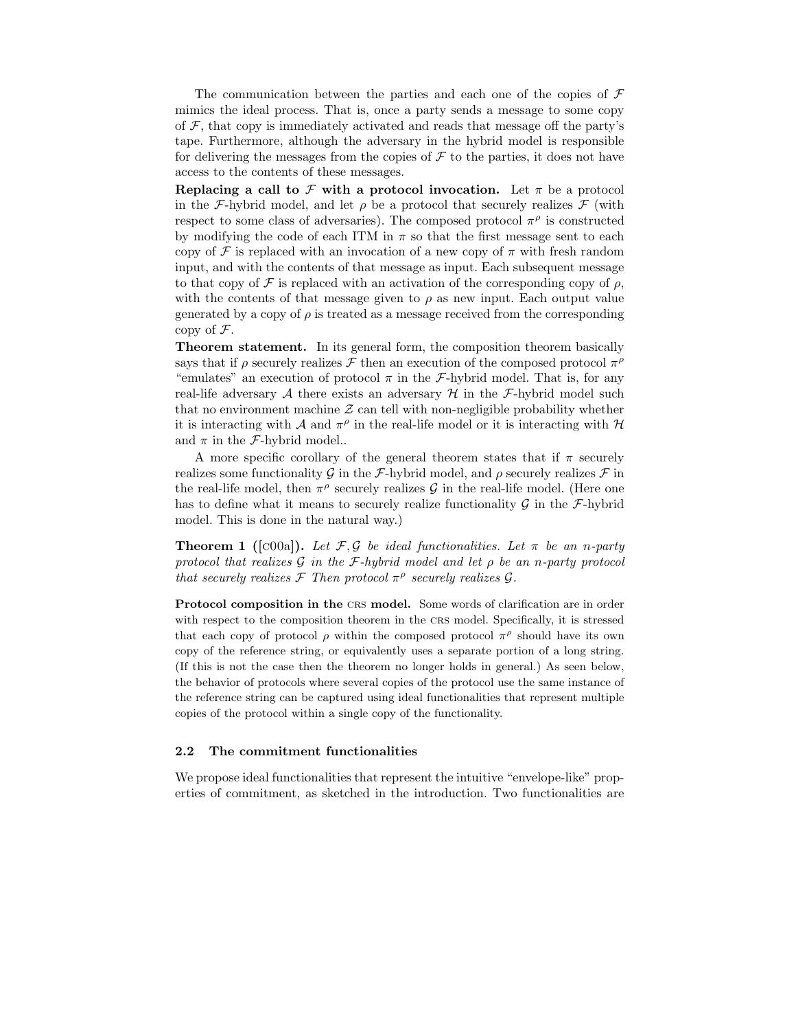The communication between the parties and each one of the copies of  $\mathcal F$ mimics the ideal process. That is, once a party sends a message to some copy of  $\mathcal F$ , that copy is immediately activated and reads that message off the party's tape. Furthermore, although the adversary in the hybrid model is responsible for delivering the messages from the copies of  $\mathcal F$  to the parties, it does not have access to the contents of these messages.

Replacing a call to  $\mathcal F$  with a protocol invocation. Let  $\pi$  be a protocol in the F-hybrid model, and let  $\rho$  be a protocol that securely realizes F (with respect to some class of adversaries). The composed protocol  $\pi^{\rho}$  is constructed by modifying the code of each ITM in  $\pi$  so that the first message sent to each copy of  $\mathcal F$  is replaced with an invocation of a new copy of  $\pi$  with fresh random input, and with the contents of that message as input. Each subsequent message to that copy of  $\mathcal F$  is replaced with an activation of the corresponding copy of  $\rho$ , with the contents of that message given to  $\rho$  as new input. Each output value generated by a copy of  $\rho$  is treated as a message received from the corresponding copy of  $\mathcal{F}$ .

Theorem statement. In its general form, the composition theorem basically says that if  $\rho$  securely realizes  $\mathcal F$  then an execution of the composed protocol  $\pi^{\rho}$ "emulates" an execution of protocol  $\pi$  in the *F*-hybrid model. That is, for any real-life adversary  $A$  there exists an adversary  $H$  in the  $F$ -hybrid model such that no environment machine  $Z$  can tell with non-negligible probability whether it is interacting with A and  $\pi^{\rho}$  in the real-life model or it is interacting with H and  $\pi$  in the *F*-hybrid model..

A more specific corollary of the general theorem states that if  $\pi$  securely realizes some functionality G in the F-hybrid model, and  $\rho$  securely realizes F in the real-life model, then  $\pi^{\rho}$  securely realizes  $\mathcal G$  in the real-life model. (Here one has to define what it means to securely realize functionality  $\mathcal G$  in the F-hybrid model. This is done in the natural way.)

**Theorem 1** ([c00a]). Let F, G be ideal functionalities. Let  $\pi$  be an n-party protocol that realizes G in the F-hybrid model and let  $\rho$  be an n-party protocol that securely realizes  $\mathcal F$  Then protocol  $\pi^{\rho}$  securely realizes  $\mathcal G$ .

Protocol composition in the CRS model. Some words of clarification are in order with respect to the composition theorem in the crs model. Specifically, it is stressed that each copy of protocol  $\rho$  within the composed protocol  $\pi^{\rho}$  should have its own copy of the reference string, or equivalently uses a separate portion of a long string. (If this is not the case then the theorem no longer holds in general.) As seen below, the behavior of protocols where several copies of the protocol use the same instance of the reference string can be captured using ideal functionalities that represent multiple copies of the protocol within a single copy of the functionality.

### 2.2 The commitment functionalities

We propose ideal functionalities that represent the intuitive "envelope-like" properties of commitment, as sketched in the introduction. Two functionalities are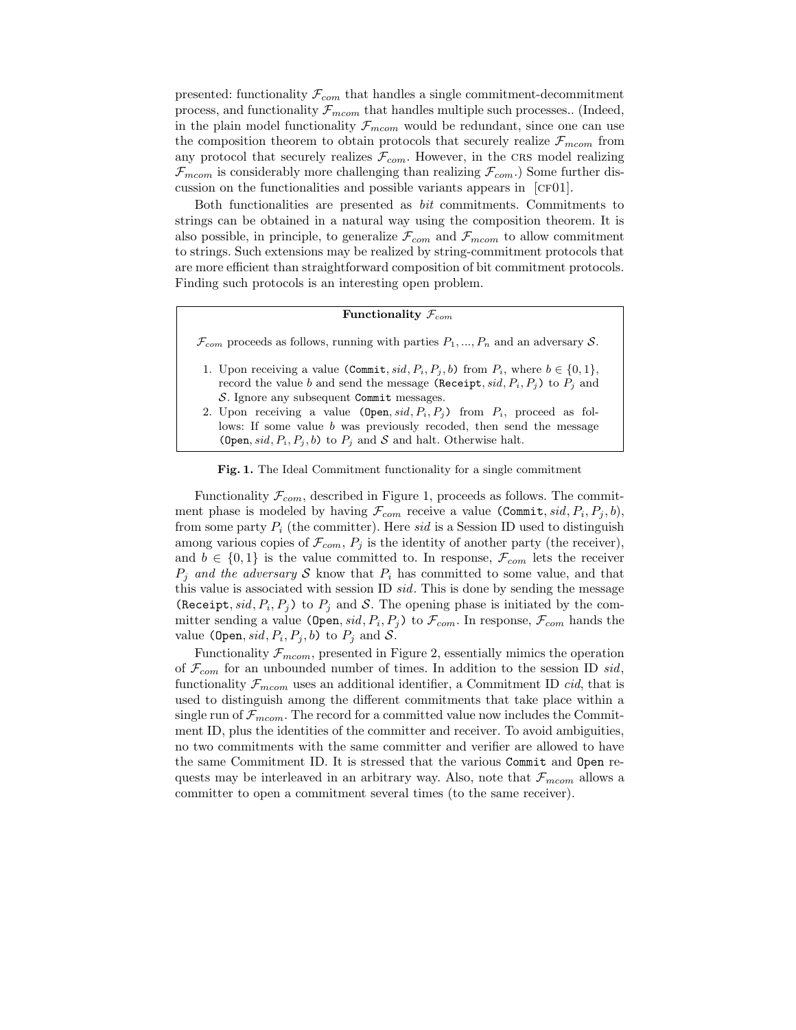presented: functionality  $\mathcal{F}_{com}$  that handles a single commitment-decommitment process, and functionality  $\mathcal{F}_{mcom}$  that handles multiple such processes.. (Indeed, in the plain model functionality  $\mathcal{F}_{mcom}$  would be redundant, since one can use the composition theorem to obtain protocols that securely realize  $\mathcal{F}_{mcom}$  from any protocol that securely realizes  $\mathcal{F}_{com}$ . However, in the CRS model realizing  $\mathcal{F}_{mcom}$  is considerably more challenging than realizing  $\mathcal{F}_{com}$ .) Some further discussion on the functionalities and possible variants appears in  $[CF01]$ .

Both functionalities are presented as bit commitments. Commitments to strings can be obtained in a natural way using the composition theorem. It is also possible, in principle, to generalize  $\mathcal{F}_{com}$  and  $\mathcal{F}_{mcom}$  to allow commitment to strings. Such extensions may be realized by string-commitment protocols that are more efficient than straightforward composition of bit commitment protocols. Finding such protocols is an interesting open problem.

### Functionality  $\mathcal{F}_{com}$

 $\mathcal{F}_{com}$  proceeds as follows, running with parties  $P_1, ..., P_n$  and an adversary S.

- 1. Upon receiving a value (Commit, sid,  $P_i$ ,  $P_j$ , b) from  $P_i$ , where  $b \in \{0, 1\}$ , record the value b and send the message (Receipt,  $sid, P_i, P_j$ ) to  $P_j$  and S. Ignore any subsequent Commit messages.
- 2. Upon receiving a value (Open, sid,  $P_i$ ,  $P_j$ ) from  $P_i$ , proceed as follows: If some value b was previously recoded, then send the message (Open, sid,  $P_i$ ,  $P_j$ , b) to  $P_j$  and S and halt. Otherwise halt.

Fig. 1. The Ideal Commitment functionality for a single commitment

Functionality  $\mathcal{F}_{com}$ , described in Figure 1, proceeds as follows. The commitment phase is modeled by having  $\mathcal{F}_{com}$  receive a value (Commit, sid,  $P_i$ ,  $P_j$ , b), from some party  $P_i$  (the committer). Here sid is a Session ID used to distinguish among various copies of  $\mathcal{F}_{com}$ ,  $P_j$  is the identity of another party (the receiver), and  $b \in \{0,1\}$  is the value committed to. In response,  $\mathcal{F}_{com}$  lets the receiver  $P_j$  and the adversary S know that  $P_i$  has committed to some value, and that this value is associated with session ID *sid*. This is done by sending the message (Receipt,  $sid, P_i, P_j$ ) to  $P_j$  and S. The opening phase is initiated by the committer sending a value (Open, sid,  $P_i$ ,  $P_j$ ) to  $\mathcal{F}_{com}$ . In response,  $\mathcal{F}_{com}$  hands the value (Open,  $sid, P_i, P_j, b$ ) to  $P_j$  and  $S$ .

Functionality  $\mathcal{F}_{mcom}$ , presented in Figure 2, essentially mimics the operation of  $\mathcal{F}_{com}$  for an unbounded number of times. In addition to the session ID sid, functionality  $\mathcal{F}_{mcom}$  uses an additional identifier, a Commitment ID *cid*, that is used to distinguish among the different commitments that take place within a single run of  $\mathcal{F}_{mcom}$ . The record for a committed value now includes the Commitment ID, plus the identities of the committer and receiver. To avoid ambiguities, no two commitments with the same committer and verifier are allowed to have the same Commitment ID. It is stressed that the various Commit and Open requests may be interleaved in an arbitrary way. Also, note that  $\mathcal{F}_{mcom}$  allows a committer to open a commitment several times (to the same receiver).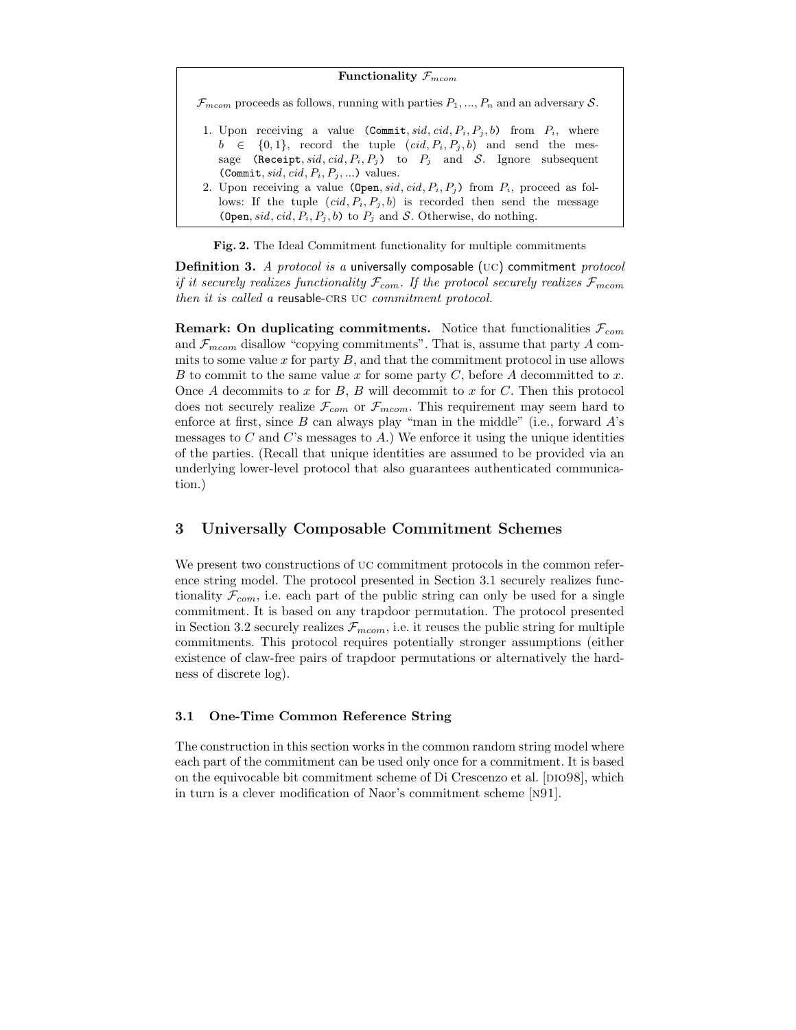#### Functionality  $\mathcal{F}_{mcom}$

 $\mathcal{F}_{mcom}$  proceeds as follows, running with parties  $P_1, ..., P_n$  and an adversary S.

- 1. Upon receiving a value (Commit, sid, cid,  $P_i$ ,  $P_j$ , b) from  $P_i$ , where  $b \in \{0,1\}$ , record the tuple  $(cid, P_i, P_j, b)$  and send the message (Receipt, sid, cid,  $P_i$ ,  $P_j$ ) to  $P_j$  and S. Ignore subsequent (Commit, sid, cid,  $P_i$ ,  $P_j$ , ...) values.
- 2. Upon receiving a value (Open, sid, cid,  $P_i$ ,  $P_j$ ) from  $P_i$ , proceed as follows: If the tuple  $(cid, P_i, P_j, b)$  is recorded then send the message (Open, sid, cid,  $P_i$ ,  $P_j$ , b) to  $P_j$  and S. Otherwise, do nothing.

Fig. 2. The Ideal Commitment functionality for multiple commitments

Definition 3. A protocol is a universally composable (UC) commitment protocol if it securely realizes functionality  $\mathcal{F}_{com}$ . If the protocol securely realizes  $\mathcal{F}_{mom}$ then it is called a reusable-CRS UC commitment protocol.

**Remark: On duplicating commitments.** Notice that functionalities  $\mathcal{F}_{com}$ and  $\mathcal{F}_{mcom}$  disallow "copying commitments". That is, assume that party A commits to some value x for party  $B$ , and that the commitment protocol in use allows B to commit to the same value x for some party  $C$ , before A decommitted to x. Once A decommits to x for B, B will decommit to x for C. Then this protocol does not securely realize  $\mathcal{F}_{com}$  or  $\mathcal{F}_{mcom}$ . This requirement may seem hard to enforce at first, since  $B$  can always play "man in the middle" (i.e., forward  $A$ 's messages to C and C's messages to A.) We enforce it using the unique identities of the parties. (Recall that unique identities are assumed to be provided via an underlying lower-level protocol that also guarantees authenticated communication.)

# 3 Universally Composable Commitment Schemes

We present two constructions of uc commitment protocols in the common reference string model. The protocol presented in Section 3.1 securely realizes functionality  $\mathcal{F}_{com}$ , i.e. each part of the public string can only be used for a single commitment. It is based on any trapdoor permutation. The protocol presented in Section 3.2 securely realizes  $\mathcal{F}_{mcom}$ , i.e. it reuses the public string for multiple commitments. This protocol requires potentially stronger assumptions (either existence of claw-free pairs of trapdoor permutations or alternatively the hardness of discrete log).

### 3.1 One-Time Common Reference String

The construction in this section works in the common random string model where each part of the commitment can be used only once for a commitment. It is based on the equivocable bit commitment scheme of Di Crescenzo et al. [DIO98], which in turn is a clever modification of Naor's commitment scheme [n91].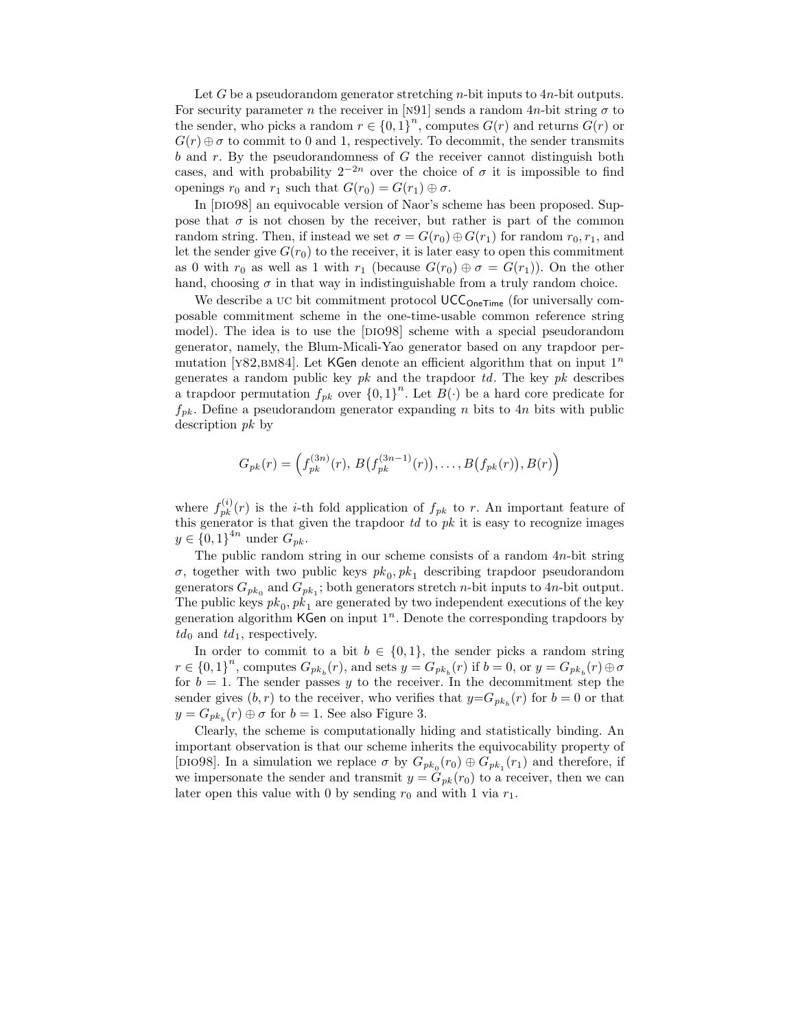Let G be a pseudorandom generator stretching *n*-bit inputs to  $4n$ -bit outputs. For security parameter n the receiver in [N91] sends a random 4n-bit string  $\sigma$  to the sender, who picks a random  $r \in \{0, 1\}^n$ , computes  $G(r)$  and returns  $G(r)$  or  $G(r) \oplus \sigma$  to commit to 0 and 1, respectively. To decommit, the sender transmits  $b$  and  $r$ . By the pseudorandomness of  $G$  the receiver cannot distinguish both cases, and with probability  $2^{-2n}$  over the choice of  $\sigma$  it is impossible to find openings  $r_0$  and  $r_1$  such that  $G(r_0) = G(r_1) \oplus \sigma$ .

In [DIO98] an equivocable version of Naor's scheme has been proposed. Suppose that  $\sigma$  is not chosen by the receiver, but rather is part of the common random string. Then, if instead we set  $\sigma = G(r_0) \oplus G(r_1)$  for random  $r_0, r_1$ , and let the sender give  $G(r_0)$  to the receiver, it is later easy to open this commitment as 0 with  $r_0$  as well as 1 with  $r_1$  (because  $G(r_0) \oplus \sigma = G(r_1)$ ). On the other hand, choosing  $\sigma$  in that way in indistinguishable from a truly random choice.

We describe a UC bit commitment protocol UCC<sub>OneTime</sub> (for universally composable commitment scheme in the one-time-usable common reference string model). The idea is to use the [DIO98] scheme with a special pseudorandom generator, namely, the Blum-Micali-Yao generator based on any trapdoor permutation [Y82,BM84]. Let KGen denote an efficient algorithm that on input  $1^n$ generates a random public key  $pk$  and the trapdoor  $td$ . The key  $pk$  describes a trapdoor permutation  $f_{pk}$  over  $\{0,1\}^n$ . Let  $B(\cdot)$  be a hard core predicate for  $f_{pk}$ . Define a pseudorandom generator expanding n bits to 4n bits with public description pk by

$$
G_{pk}(r) = \left(f_{pk}^{(3n)}(r), B(f_{pk}^{(3n-1)}(r)), \ldots, B(f_{pk}(r)), B(r)\right)
$$

where  $f_{pk}^{(i)}(r)$  is the *i*-th fold application of  $f_{pk}$  to *r*. An important feature of this generator is that given the trapdoor  $td$  to  $pk$  it is easy to recognize images  $y \in \{0,1\}^{4n}$  under  $G_{pk}$ .

The public random string in our scheme consists of a random  $4n$ -bit string  $\sigma$ , together with two public keys  $pk_0, pk_1$  describing trapdoor pseudorandom generators  $G_{pk_0}$  and  $G_{pk_1}$ ; both generators stretch *n*-bit inputs to 4*n*-bit output. The public keys  $pk_0$ ,  $pk_1$  are generated by two independent executions of the key generation algorithm  $KGen$  on input  $1<sup>n</sup>$ . Denote the corresponding trapdoors by  $td_0$  and  $td_1$ , respectively.

In order to commit to a bit  $b \in \{0,1\}$ , the sender picks a random string  $r \in \{0,1\}^n$ , computes  $G_{pk_b}(r)$ , and sets  $y = G_{pk_b}(r)$  if  $b = 0$ , or  $y = G_{pk_b}(r) \oplus \sigma$ for  $b = 1$ . The sender passes y to the receiver. In the decommitment step the sender gives  $(b, r)$  to the receiver, who verifies that  $y = G_{pk_b}(r)$  for  $b = 0$  or that  $y = G_{pk_b}(r) \oplus \sigma$  for  $b = 1$ . See also Figure 3.

Clearly, the scheme is computationally hiding and statistically binding. An important observation is that our scheme inherits the equivocability property of [DIO98]. In a simulation we replace  $\sigma$  by  $G_{pk_0}(r_0) \oplus G_{pk_1}(r_1)$  and therefore, if we impersonate the sender and transmit  $y = G_{pk}(r_0)$  to a receiver, then we can later open this value with 0 by sending  $r_0$  and with 1 via  $r_1$ .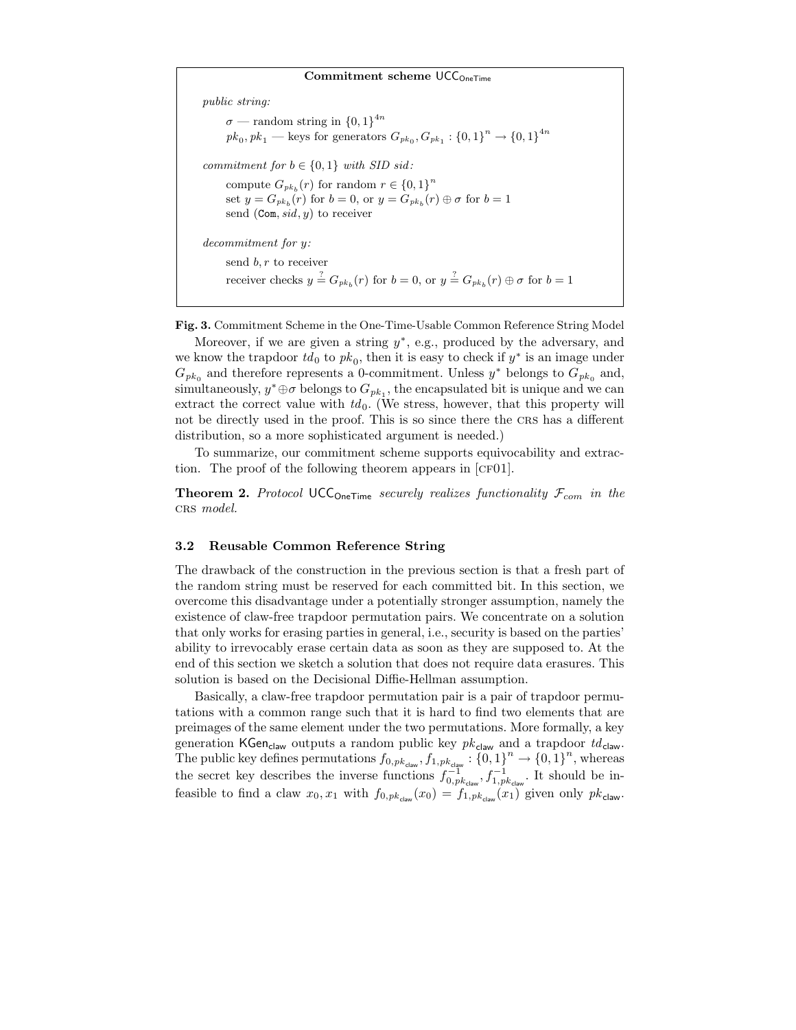#### Commitment scheme UCCOneTime

public string:

 $\sigma$  — random string in  $\{0,1\}^{4n}$  $pk_0, pk_1$  — keys for generators  $G_{pk_0}, G_{pk_1} : \{0, 1\}^n \to \{0, 1\}^{4n}$ commitment for  $b \in \{0, 1\}$  with SID sid: compute  $G_{pk_b}(r)$  for random  $r \in \{0,1\}^n$ set  $y = G_{pk_b}(r)$  for  $b = 0$ , or  $y = G_{pk_b}(r) \oplus \sigma$  for  $b = 1$ send  $(Com, sid, y)$  to receiver decommitment for y: send b, r to receiver receiver checks  $y \stackrel{?}{=} G_{pk_b}(r)$  for  $b = 0$ , or  $y \stackrel{?}{=} G_{pk_b}(r) \oplus \sigma$  for  $b = 1$ 

Fig. 3. Commitment Scheme in the One-Time-Usable Common Reference String Model

Moreover, if we are given a string  $y^*$ , e.g., produced by the adversary, and we know the trapdoor  $td_0$  to  $pk_0$ , then it is easy to check if  $y^*$  is an image under  $G_{pk_0}$  and therefore represents a 0-commitment. Unless  $y^*$  belongs to  $G_{pk_0}$  and, simultaneously,  $y^* \oplus \sigma$  belongs to  $G_{pk_1}$ , the encapsulated bit is unique and we can extract the correct value with  $td_0$ . (We stress, however, that this property will not be directly used in the proof. This is so since there the crs has a different distribution, so a more sophisticated argument is needed.)

To summarize, our commitment scheme supports equivocability and extraction. The proof of the following theorem appears in [CF01].

**Theorem 2.** Protocol UCC<sub>OneTime</sub> securely realizes functionality  $\mathcal{F}_{com}$  in the CRS model.

### 3.2 Reusable Common Reference String

The drawback of the construction in the previous section is that a fresh part of the random string must be reserved for each committed bit. In this section, we overcome this disadvantage under a potentially stronger assumption, namely the existence of claw-free trapdoor permutation pairs. We concentrate on a solution that only works for erasing parties in general, i.e., security is based on the parties' ability to irrevocably erase certain data as soon as they are supposed to. At the end of this section we sketch a solution that does not require data erasures. This solution is based on the Decisional Diffie-Hellman assumption.

Basically, a claw-free trapdoor permutation pair is a pair of trapdoor permutations with a common range such that it is hard to find two elements that are preimages of the same element under the two permutations. More formally, a key generation KGen<sub>claw</sub> outputs a random public key  $pk_{\text{claw}}$  and a trapdoor  $td_{\text{claw}}$ . The public key defines permutations  $f_{0,pk_{\text{claw}}}$ ,  $f_{1,pk_{\text{claw}}}$ :  $\{0,1\}^n \to \{0,1\}^n$ , whereas the secret key describes the inverse functions  $f_{0,p_{k_{\text{claw}}}^{1}}^{-1}, f_{1,p_{k_{\text{claw}}}^{1}}^{-1}$ . It should be infeasible to find a claw  $x_0, x_1$  with  $f_{0,pk_{\text{claw}}}(x_0) = f_{1,pk_{\text{claw}}}(x_1)$  given only  $pk_{\text{claw}}$ .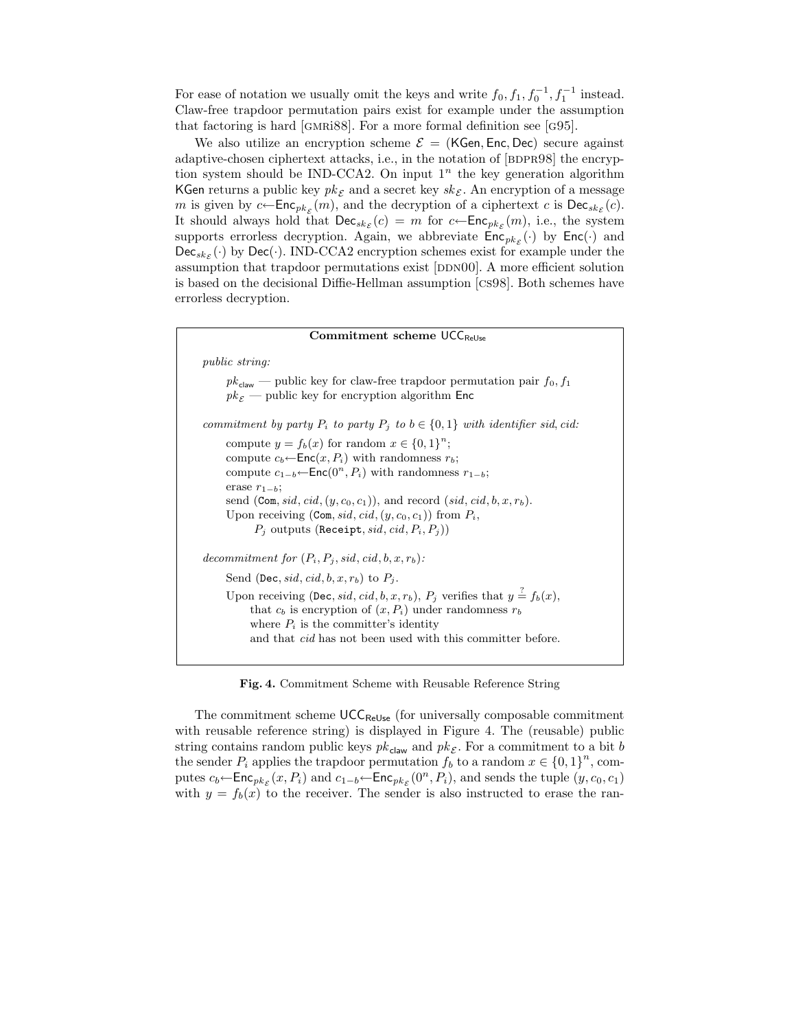For ease of notation we usually omit the keys and write  $f_0, f_1, f_0^{-1}, f_1^{-1}$  instead. Claw-free trapdoor permutation pairs exist for example under the assumption that factoring is hard [GMRi88]. For a more formal definition see [G95].

We also utilize an encryption scheme  $\mathcal{E} = (KGen, Enc, Dec)$  secure against adaptive-chosen ciphertext attacks, i.e., in the notation of [BDPR98] the encryption system should be IND-CCA2. On input  $1<sup>n</sup>$  the key generation algorithm KGen returns a public key  $pk_{\mathcal{E}}$  and a secret key  $sk_{\mathcal{E}}$ . An encryption of a message m is given by  $c \leftarrow \mathsf{Enc}_{pk_{\mathcal{E}}}(m)$ , and the decryption of a ciphertext c is  $\mathsf{Dec}_{sk_{\mathcal{E}}}(c)$ . It should always hold that  $\mathsf{Dec}_{sk_{\mathcal{E}}}(c) = m$  for  $c \leftarrow \mathsf{Enc}_{pk_{\mathcal{E}}}(m)$ , i.e., the system supports errorless decryption. Again, we abbreviate  $\mathsf{Enc}_{pk_{\varepsilon}}(\cdot)$  by  $\mathsf{Enc}(\cdot)$  and  $\text{Dec}_{sk_{\mathcal{E}}}(\cdot)$  by  $\text{Dec}(\cdot)$ . IND-CCA2 encryption schemes exist for example under the assumption that trapdoor permutations exist  $[DDN00]$ . A more efficient solution is based on the decisional Diffie-Hellman assumption [cs98]. Both schemes have errorless decryption.

| Commitment scheme $\mathsf{UCC}_{\mathsf{Rellse}}$                                                                                                 |
|----------------------------------------------------------------------------------------------------------------------------------------------------|
| <i>public string:</i>                                                                                                                              |
| $pk_{\text{claw}}$ — public key for claw-free trapdoor permutation pair $f_0, f_1$<br>$pk_{\mathcal{E}}$ — public key for encryption algorithm Enc |
| commitment by party $P_i$ to party $P_j$ to $b \in \{0,1\}$ with identifier sid, cid:                                                              |
| compute $y = f_b(x)$ for random $x \in \{0,1\}^n$ ;                                                                                                |
| compute $c_b \leftarrow \text{Enc}(x, P_i)$ with randomness $r_b$ ;                                                                                |
| compute $c_{1-b} \leftarrow \text{Enc}(0^n, P_i)$ with randomness $r_{1-b}$ ;                                                                      |
| erase $r_{1-b}$ ;                                                                                                                                  |
| send (Com, sid, cid, $(y, c_0, c_1)$ ), and record (sid, cid, b, x, r <sub>b</sub> ).                                                              |
| Upon receiving $(Com, sid, cid, (y, c_0, c_1))$ from $P_i$ ,                                                                                       |
| $P_i$ outputs (Receipt, sid, cid, $P_i, P_i$ ))                                                                                                    |
|                                                                                                                                                    |
| decommitment for $(P_i, P_j, sid, cid, b, x, r_b)$ :                                                                                               |
| Send (Dec, sid, cid, b, x, $r_b$ ) to $P_i$ .                                                                                                      |
| Upon receiving (Dec, sid, cid, b, x, r <sub>b</sub> ), $P_j$ verifies that $y = f_b(x)$ ,                                                          |
| that $c_b$ is encryption of $(x, P_i)$ under randomness $r_b$                                                                                      |
| where $P_i$ is the committer's identity                                                                                                            |
| and that <i>cid</i> has not been used with this committer before.                                                                                  |
|                                                                                                                                                    |

Fig. 4. Commitment Scheme with Reusable Reference String

The commitment scheme  $\mathsf{UCC}_{\mathsf{RelUse}}$  (for universally composable commitment with reusable reference string) is displayed in Figure 4. The (reusable) public string contains random public keys  $pk_{\text{claw}}$  and  $pk_{\mathcal{E}}$ . For a commitment to a bit b the sender  $P_i$  applies the trapdoor permutation  $f_b$  to a random  $x \in \{0,1\}^n$ , computes  $c_b \leftarrow \mathsf{Enc}_{pk_{\mathcal{E}}}(x, P_i)$  and  $c_{1-b} \leftarrow \mathsf{Enc}_{pk_{\mathcal{E}}}(0^n, P_i)$ , and sends the tuple  $(y, c_0, c_1)$ with  $y = f_b(x)$  to the receiver. The sender is also instructed to erase the ran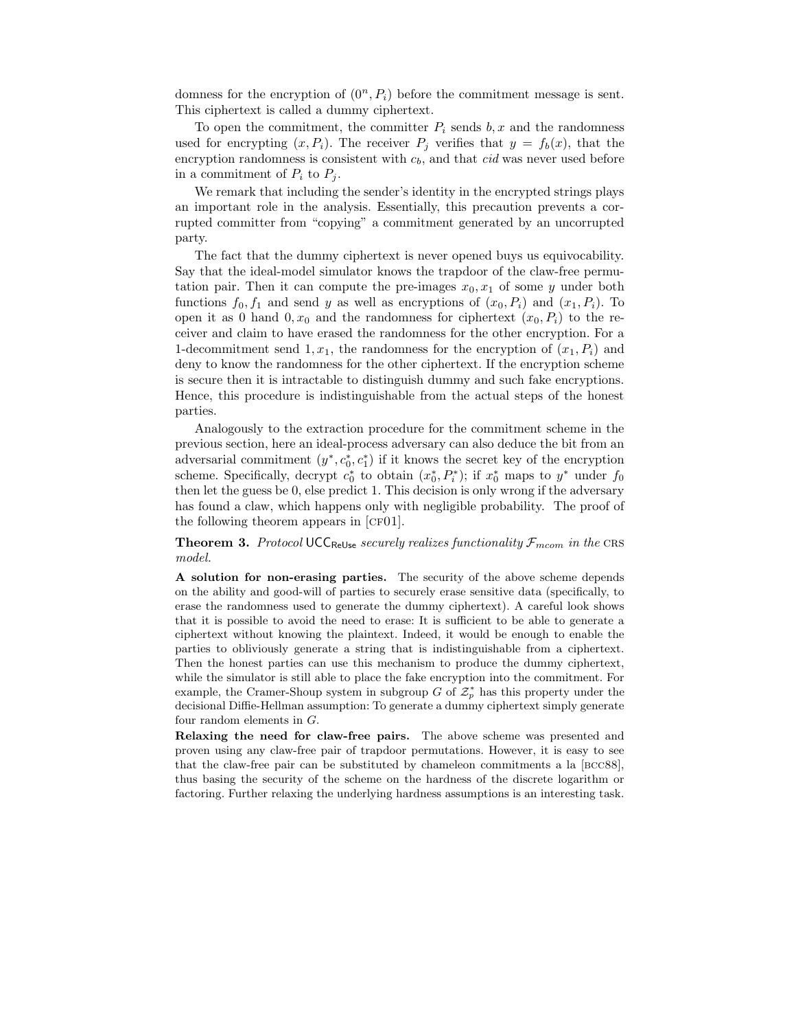domness for the encryption of  $(0^n, P_i)$  before the commitment message is sent. This ciphertext is called a dummy ciphertext.

To open the commitment, the committer  $P_i$  sends  $b, x$  and the randomness used for encrypting  $(x, P_i)$ . The receiver  $P_j$  verifies that  $y = f_b(x)$ , that the encryption randomness is consistent with  $c<sub>b</sub>$ , and that cid was never used before in a commitment of  $P_i$  to  $P_i$ .

We remark that including the sender's identity in the encrypted strings plays an important role in the analysis. Essentially, this precaution prevents a corrupted committer from "copying" a commitment generated by an uncorrupted party.

The fact that the dummy ciphertext is never opened buys us equivocability. Say that the ideal-model simulator knows the trapdoor of the claw-free permutation pair. Then it can compute the pre-images  $x_0, x_1$  of some y under both functions  $f_0, f_1$  and send y as well as encryptions of  $(x_0, P_i)$  and  $(x_1, P_i)$ . To open it as 0 hand 0,  $x_0$  and the randomness for ciphertext  $(x_0, P_i)$  to the receiver and claim to have erased the randomness for the other encryption. For a 1-decommitment send 1,  $x_1$ , the randomness for the encryption of  $(x_1, P_i)$  and deny to know the randomness for the other ciphertext. If the encryption scheme is secure then it is intractable to distinguish dummy and such fake encryptions. Hence, this procedure is indistinguishable from the actual steps of the honest parties.

Analogously to the extraction procedure for the commitment scheme in the previous section, here an ideal-process adversary can also deduce the bit from an adversarial commitment  $(y^*, c_0^*, c_1^*)$  if it knows the secret key of the encryption scheme. Specifically, decrypt  $c_0^*$  to obtain  $(x_0^*, P_i^*)$ ; if  $x_0^*$  maps to  $y^*$  under  $f_0$ then let the guess be 0, else predict 1. This decision is only wrong if the adversary has found a claw, which happens only with negligible probability. The proof of the following theorem appears in [CF01].

**Theorem 3.** Protocol UCC<sub>ReUse</sub> securely realizes functionality  $\mathcal{F}_{mcom}$  in the CRS model.

A solution for non-erasing parties. The security of the above scheme depends on the ability and good-will of parties to securely erase sensitive data (specifically, to erase the randomness used to generate the dummy ciphertext). A careful look shows that it is possible to avoid the need to erase: It is sufficient to be able to generate a ciphertext without knowing the plaintext. Indeed, it would be enough to enable the parties to obliviously generate a string that is indistinguishable from a ciphertext. Then the honest parties can use this mechanism to produce the dummy ciphertext, while the simulator is still able to place the fake encryption into the commitment. For example, the Cramer-Shoup system in subgroup G of  $\mathcal{Z}_p^*$  has this property under the decisional Diffie-Hellman assumption: To generate a dummy ciphertext simply generate four random elements in G.

Relaxing the need for claw-free pairs. The above scheme was presented and proven using any claw-free pair of trapdoor permutations. However, it is easy to see that the claw-free pair can be substituted by chameleon commitments a la [bcc88], thus basing the security of the scheme on the hardness of the discrete logarithm or factoring. Further relaxing the underlying hardness assumptions is an interesting task.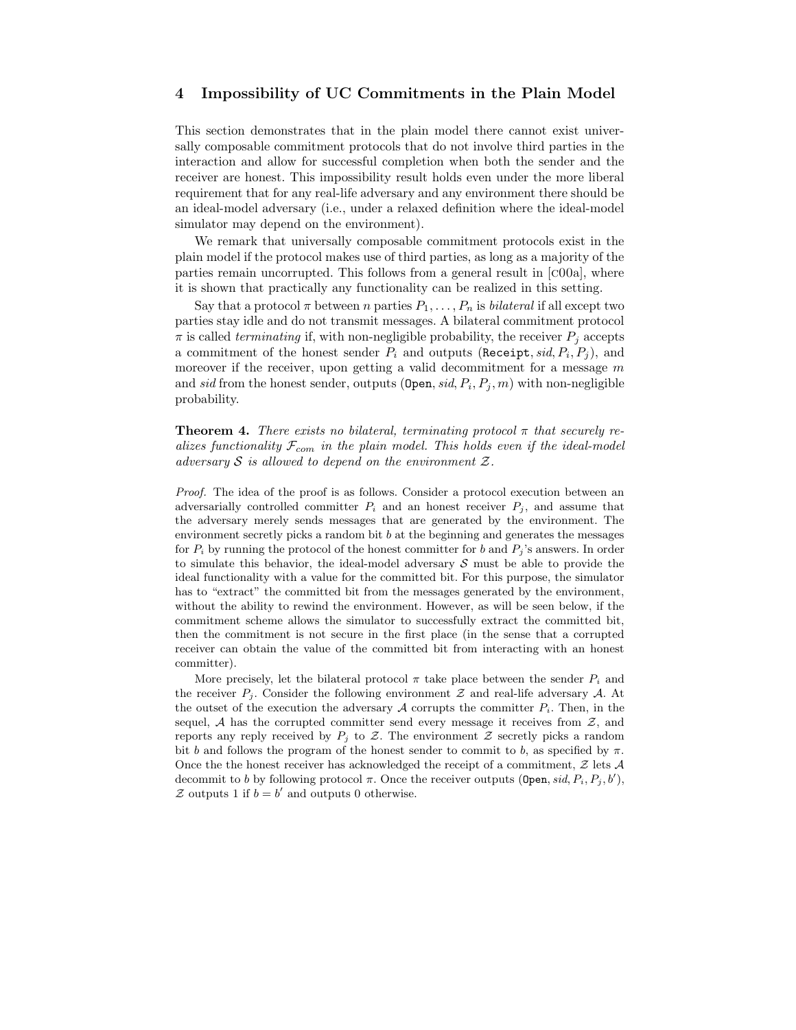### 4 Impossibility of UC Commitments in the Plain Model

This section demonstrates that in the plain model there cannot exist universally composable commitment protocols that do not involve third parties in the interaction and allow for successful completion when both the sender and the receiver are honest. This impossibility result holds even under the more liberal requirement that for any real-life adversary and any environment there should be an ideal-model adversary (i.e., under a relaxed definition where the ideal-model simulator may depend on the environment).

We remark that universally composable commitment protocols exist in the plain model if the protocol makes use of third parties, as long as a majority of the parties remain uncorrupted. This follows from a general result in [c00a], where it is shown that practically any functionality can be realized in this setting.

Say that a protocol  $\pi$  between n parties  $P_1, \ldots, P_n$  is *bilateral* if all except two parties stay idle and do not transmit messages. A bilateral commitment protocol  $\pi$  is called *terminating* if, with non-negligible probability, the receiver  $P_i$  accepts a commitment of the honest sender  $P_i$  and outputs (Receipt, sid,  $P_i$ ,  $P_j$ ), and moreover if the receiver, upon getting a valid decommitment for a message  $m$ and sid from the honest sender, outputs (Open,  $sid, P_i, P_j, m$ ) with non-negligible probability.

**Theorem 4.** There exists no bilateral, terminating protocol  $\pi$  that securely realizes functionality  $\mathcal{F}_{com}$  in the plain model. This holds even if the ideal-model adversary S is allowed to depend on the environment  $\mathcal{Z}$ .

Proof. The idea of the proof is as follows. Consider a protocol execution between an adversarially controlled committer  $P_i$  and an honest receiver  $P_j$ , and assume that the adversary merely sends messages that are generated by the environment. The environment secretly picks a random bit  $b$  at the beginning and generates the messages for  $P_i$  by running the protocol of the honest committer for b and  $P_i$ 's answers. In order to simulate this behavior, the ideal-model adversary  $S$  must be able to provide the ideal functionality with a value for the committed bit. For this purpose, the simulator has to "extract" the committed bit from the messages generated by the environment, without the ability to rewind the environment. However, as will be seen below, if the commitment scheme allows the simulator to successfully extract the committed bit, then the commitment is not secure in the first place (in the sense that a corrupted receiver can obtain the value of the committed bit from interacting with an honest committer).

More precisely, let the bilateral protocol  $\pi$  take place between the sender  $P_i$  and the receiver  $P_i$ . Consider the following environment  $\mathcal Z$  and real-life adversary  $\mathcal A$ . At the outset of the execution the adversary  $A$  corrupts the committer  $P_i$ . Then, in the sequel,  $A$  has the corrupted committer send every message it receives from  $Z$ , and reports any reply received by  $P_j$  to  $\mathcal Z$ . The environment  $\mathcal Z$  secretly picks a random bit b and follows the program of the honest sender to commit to b, as specified by  $\pi$ . Once the the honest receiver has acknowledged the receipt of a commitment,  $\mathcal Z$  lets  $\mathcal A$ decommit to b by following protocol  $\pi$ . Once the receiver outputs (Open, sid,  $P_i$ ,  $P_j$ , b'),  $\mathcal Z$  outputs 1 if  $b = b'$  and outputs 0 otherwise.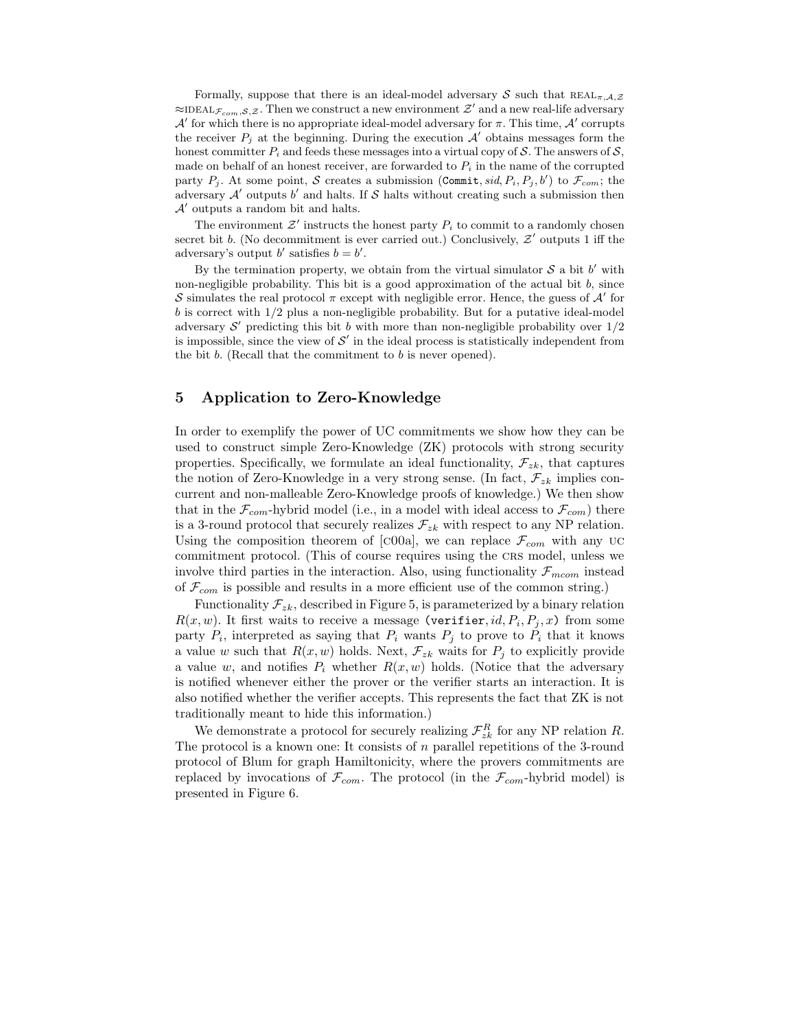Formally, suppose that there is an ideal-model adversary S such that  $REAL_{\pi,\mathcal{A},\mathcal{Z}}$  $\approx$ IDEAL $\mathcal{F}_{com}$ ,  $\mathcal{S}, \mathcal{Z}$ . Then we construct a new environment  $\mathcal{Z}'$  and a new real-life adversary  $\mathcal{A}'$  for which there is no appropriate ideal-model adversary for π. This time,  $\mathcal{A}'$  corrupts the receiver  $P_j$  at the beginning. During the execution  $\mathcal{A}'$  obtains messages form the honest committer  $P_i$  and feeds these messages into a virtual copy of S. The answers of S, made on behalf of an honest receiver, are forwarded to  $P_i$  in the name of the corrupted party  $P_j$ . At some point, S creates a submission (Commit, sid,  $P_i$ ,  $P_j$ , b') to  $\mathcal{F}_{com}$ ; the adversary  $A'$  outputs  $b'$  and halts. If S halts without creating such a submission then  $\mathcal{A}'$  outputs a random bit and halts.

The environment  $\mathcal{Z}'$  instructs the honest party  $P_i$  to commit to a randomly chosen secret bit b. (No decommitment is ever carried out.) Conclusively,  $\mathcal{Z}'$  outputs 1 iff the adversary's output b' satisfies  $b = b'$ .

By the termination property, we obtain from the virtual simulator  $S$  a bit  $b'$  with non-negligible probability. This bit is a good approximation of the actual bit b, since S simulates the real protocol  $\pi$  except with negligible error. Hence, the guess of  $\mathcal{A}'$  for  $b$  is correct with  $1/2$  plus a non-negligible probability. But for a putative ideal-model adversary  $\mathcal{S}'$  predicting this bit b with more than non-negligible probability over  $1/2$ is impossible, since the view of  $\mathcal{S}'$  in the ideal process is statistically independent from the bit  $b$ . (Recall that the commitment to  $b$  is never opened).

# 5 Application to Zero-Knowledge

In order to exemplify the power of UC commitments we show how they can be used to construct simple Zero-Knowledge (ZK) protocols with strong security properties. Specifically, we formulate an ideal functionality,  $\mathcal{F}_{zk}$ , that captures the notion of Zero-Knowledge in a very strong sense. (In fact,  $\mathcal{F}_{zk}$  implies concurrent and non-malleable Zero-Knowledge proofs of knowledge.) We then show that in the  $\mathcal{F}_{com}$ -hybrid model (i.e., in a model with ideal access to  $\mathcal{F}_{com}$ ) there is a 3-round protocol that securely realizes  $\mathcal{F}_{zk}$  with respect to any NP relation. Using the composition theorem of [c00a], we can replace  $\mathcal{F}_{com}$  with any UC commitment protocol. (This of course requires using the crs model, unless we involve third parties in the interaction. Also, using functionality  $\mathcal{F}_{mcom}$  instead of  $\mathcal{F}_{com}$  is possible and results in a more efficient use of the common string.)

Functionality  $\mathcal{F}_{zk}$ , described in Figure 5, is parameterized by a binary relation  $R(x, w)$ . It first waits to receive a message (verifier,  $id, P_i, P_j, x$ ) from some party  $P_i$ , interpreted as saying that  $P_i$  wants  $P_j$  to prove to  $P_i$  that it knows a value w such that  $R(x, w)$  holds. Next,  $\mathcal{F}_{zk}$  waits for  $P_j$  to explicitly provide a value w, and notifies  $P_i$  whether  $R(x, w)$  holds. (Notice that the adversary is notified whenever either the prover or the verifier starts an interaction. It is also notified whether the verifier accepts. This represents the fact that ZK is not traditionally meant to hide this information.)

We demonstrate a protocol for securely realizing  $\mathcal{F}_{zk}^R$  for any NP relation R. The protocol is a known one: It consists of n parallel repetitions of the 3-round protocol of Blum for graph Hamiltonicity, where the provers commitments are replaced by invocations of  $\mathcal{F}_{com}$ . The protocol (in the  $\mathcal{F}_{com}$ -hybrid model) is presented in Figure 6.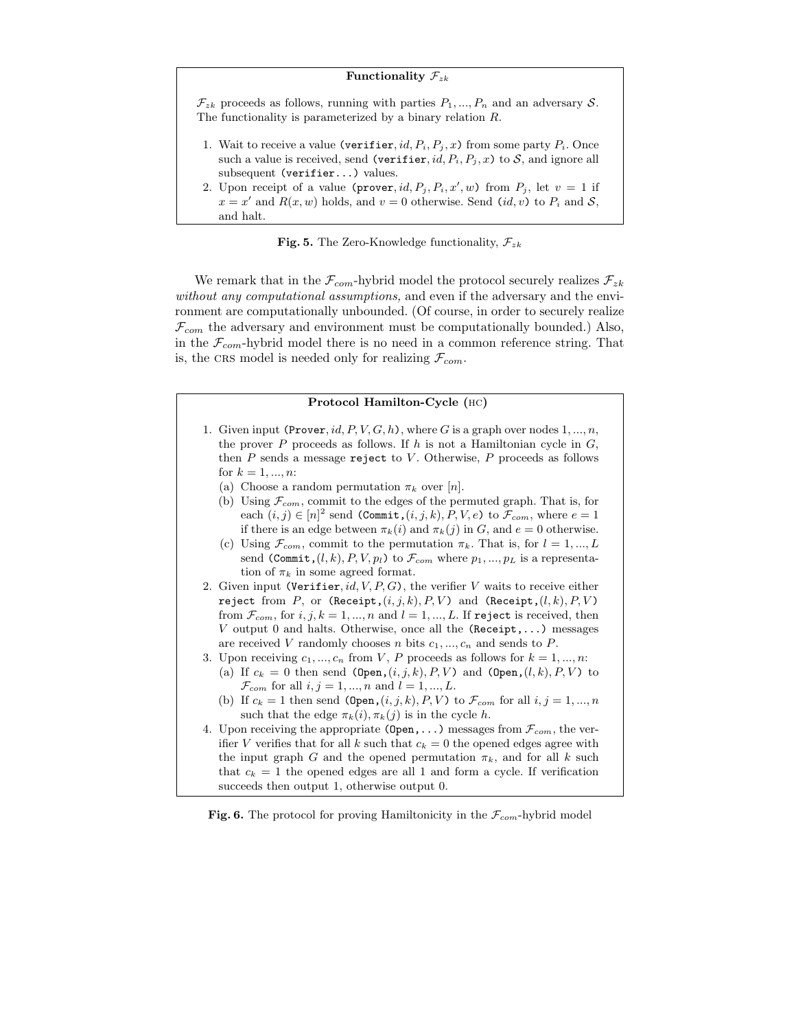#### Functionality  $\mathcal{F}_{zk}$

 $\mathcal{F}_{zk}$  proceeds as follows, running with parties  $P_1, ..., P_n$  and an adversary S. The functionality is parameterized by a binary relation R.

- 1. Wait to receive a value (verifier, id,  $P_i$ ,  $P_j$ , x) from some party  $P_i$ . Once such a value is received, send (verifier, id,  $P_i$ ,  $P_j$ , x) to S, and ignore all subsequent (verifier...) values.
- 2. Upon receipt of a value (prover, id,  $P_j$ ,  $P_i$ ,  $x'$ ,  $w$ ) from  $P_j$ , let  $v = 1$  if  $x = x'$  and  $R(x, w)$  holds, and  $v = 0$  otherwise. Send  $(id, v)$  to  $P_i$  and  $S$ , and halt.



We remark that in the  $\mathcal{F}_{com}$ -hybrid model the protocol securely realizes  $\mathcal{F}_{zk}$ without any computational assumptions, and even if the adversary and the environment are computationally unbounded. (Of course, in order to securely realize  $\mathcal{F}_{com}$  the adversary and environment must be computationally bounded.) Also, in the  $\mathcal{F}_{com}$ -hybrid model there is no need in a common reference string. That is, the CRS model is needed only for realizing  $\mathcal{F}_{com}$ .

### Protocol Hamilton-Cycle (hc)

- 1. Given input (Prover, id, P, V, G, h), where G is a graph over nodes  $1, ..., n$ , the prover  $P$  proceeds as follows. If  $h$  is not a Hamiltonian cycle in  $G$ , then  $P$  sends a message reject to  $V$ . Otherwise,  $P$  proceeds as follows for  $k = 1, ..., n$ :
	- (a) Choose a random permutation  $\pi_k$  over  $[n]$ .
	- (b) Using  $\mathcal{F}_{com}$ , commit to the edges of the permuted graph. That is, for each  $(i, j) \in [n]^2$  send (Commit,  $(i, j, k)$ ,  $P, V, e$ ) to  $\mathcal{F}_{com}$ , where  $e = 1$ if there is an edge between  $\pi_k(i)$  and  $\pi_k(j)$  in G, and  $e = 0$  otherwise.
	- (c) Using  $\mathcal{F}_{com}$ , commit to the permutation  $\pi_k$ . That is, for  $l = 1, ..., L$ send (Commit,  $(l, k)$ ,  $P, V, p_l$ ) to  $\mathcal{F}_{com}$  where  $p_1, ..., p_L$  is a representation of  $\pi_k$  in some agreed format.
- 2. Given input (Verifier, id, V, P, G), the verifier V waits to receive either reject from  $P$ , or (Receipt, $(i, j, k)$ ,  $P$ ,  $V$ ) and (Receipt, $(l, k)$ ,  $P$ ,  $V$ ) from  $\mathcal{F}_{com}$ , for  $i, j, k = 1, ..., n$  and  $l = 1, ..., L$ . If reject is received, then  $V$  output 0 and halts. Otherwise, once all the (Receipt,...) messages are received V randomly chooses n bits  $c_1, ..., c_n$  and sends to P.
- 3. Upon receiving  $c_1, ..., c_n$  from V, P proceeds as follows for  $k = 1, ..., n$ :
	- (a) If  $c_k = 0$  then send (Open, $(i, j, k)$ , P, V) and (Open,  $(l, k)$ , P, V) to  $\mathcal{F}_{com}$  for all  $i, j = 1, ..., n$  and  $l = 1, ..., L$ .
	- (b) If  $c_k = 1$  then send (Open,  $(i, j, k)$ ,  $P$ ,  $V$ ) to  $\mathcal{F}_{com}$  for all  $i, j = 1, ..., n$ such that the edge  $\pi_k(i), \pi_k(j)$  is in the cycle h.
- 4. Upon receiving the appropriate (Open, ...) messages from  $\mathcal{F}_{com}$ , the verifier V verifies that for all k such that  $c_k = 0$  the opened edges agree with the input graph G and the opened permutation  $\pi_k$ , and for all k such that  $c_k = 1$  the opened edges are all 1 and form a cycle. If verification succeeds then output 1, otherwise output 0.

Fig. 6. The protocol for proving Hamiltonicity in the  $\mathcal{F}_{com}$ -hybrid model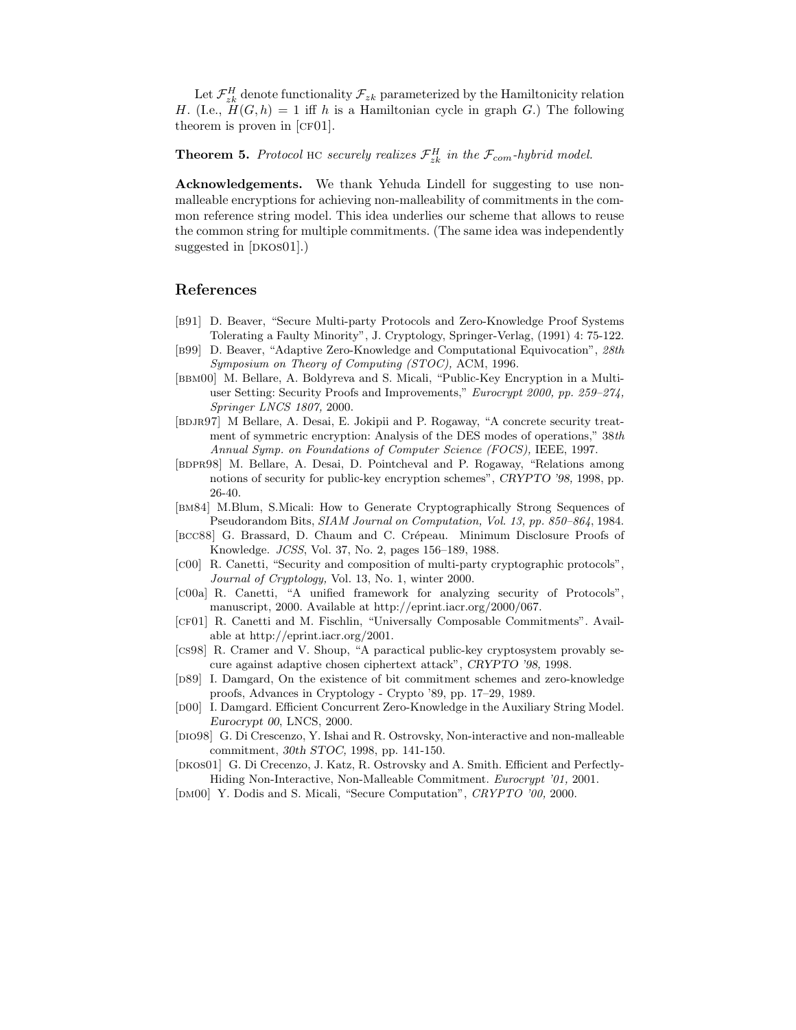Let  $\mathcal{F}_{zk}^H$  denote functionality  $\mathcal{F}_{zk}$  parameterized by the Hamiltonicity relation H. (I.e.,  $H(G, h) = 1$  iff h is a Hamiltonian cycle in graph G.) The following theorem is proven in [CF01].

**Theorem 5.** Protocol HC securely realizes  $\mathcal{F}_{zk}^H$  in the  $\mathcal{F}_{com}$ -hybrid model.

Acknowledgements. We thank Yehuda Lindell for suggesting to use nonmalleable encryptions for achieving non-malleability of commitments in the common reference string model. This idea underlies our scheme that allows to reuse the common string for multiple commitments. (The same idea was independently suggested in  $[DKOS01]$ .

# References

- [b91] D. Beaver, "Secure Multi-party Protocols and Zero-Knowledge Proof Systems Tolerating a Faulty Minority", J. Cryptology, Springer-Verlag, (1991) 4: 75-122.
- [b99] D. Beaver, "Adaptive Zero-Knowledge and Computational Equivocation", 28th Symposium on Theory of Computing (STOC), ACM, 1996.
- [BBM00] M. Bellare, A. Boldyreva and S. Micali, "Public-Key Encryption in a Multiuser Setting: Security Proofs and Improvements," Eurocrypt 2000, pp. 259-274, Springer LNCS 1807, 2000.
- [BDJR97] M Bellare, A. Desai, E. Jokipii and P. Rogaway, "A concrete security treatment of symmetric encryption: Analysis of the DES modes of operations," 38th Annual Symp. on Foundations of Computer Science (FOCS), IEEE, 1997.
- [BDPR98] M. Bellare, A. Desai, D. Pointcheval and P. Rogaway, "Relations among notions of security for public-key encryption schemes", CRYPTO '98, 1998, pp. 26-40.
- [bm84] M.Blum, S.Micali: How to Generate Cryptographically Strong Sequences of Pseudorandom Bits, SIAM Journal on Computation, Vol. 13, pp. 850–864, 1984.
- [BCC88] G. Brassard, D. Chaum and C. Crépeau. Minimum Disclosure Proofs of Knowledge. JCSS, Vol. 37, No. 2, pages 156–189, 1988.
- [c00] R. Canetti, "Security and composition of multi-party cryptographic protocols", Journal of Cryptology, Vol. 13, No. 1, winter 2000.
- [c00a] R. Canetti, "A unified framework for analyzing security of Protocols", manuscript, 2000. Available at http://eprint.iacr.org/2000/067.
- [cf01] R. Canetti and M. Fischlin, "Universally Composable Commitments". Available at http://eprint.iacr.org/2001.
- [cs98] R. Cramer and V. Shoup, "A paractical public-key cryptosystem provably secure against adaptive chosen ciphertext attack", CRYPTO '98, 1998.
- [D89] I. Damgard, On the existence of bit commitment schemes and zero-knowledge proofs, Advances in Cryptology - Crypto '89, pp. 17–29, 1989.
- [D00] I. Damgard. Efficient Concurrent Zero-Knowledge in the Auxiliary String Model. Eurocrypt 00, LNCS, 2000.
- [DIO98] G. Di Crescenzo, Y. Ishai and R. Ostrovsky, Non-interactive and non-malleable commitment, 30th STOC, 1998, pp. 141-150.
- [DKOS01] G. Di Crecenzo, J. Katz, R. Ostrovsky and A. Smith. Efficient and Perfectly-Hiding Non-Interactive, Non-Malleable Commitment. Eurocrypt '01, 2001.
- [DM00] Y. Dodis and S. Micali, "Secure Computation", CRYPTO '00, 2000.